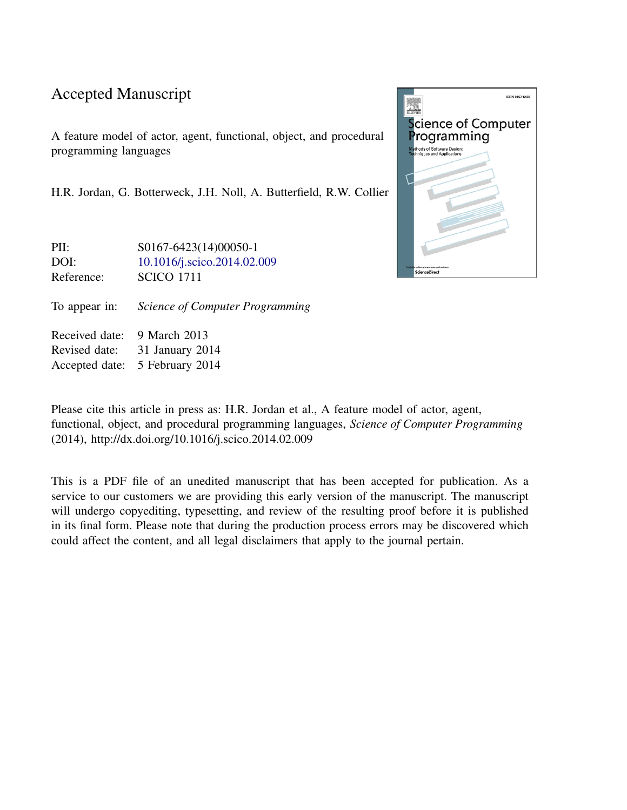# Accepted Manuscript

A feature model of actor, agent, functional, object, and procedural programming languages

H.R. Jordan, G. Botterweck, J.H. Noll, A. Butterfield, R.W. Collier

PII: S0167-6423(14)00050-1 DOI: 10.1016/j.scico.2014.02.009 Reference: SCICO 1711



To appear in: *Science of Computer Programming*

Received date: 9 March 2013 Revised date: 31 January 2014 Accepted date: 5 February 2014

Please cite this article in press as: H.R. Jordan et al., A feature model of actor, agent, functional, object, and procedural programming languages, *Science of Computer Programming* (2014), http://dx.doi.org/10.1016/j.scico.2014.02.009

This is a PDF file of an unedited manuscript that has been accepted for publication. As a service to our customers we are providing this early version of the manuscript. The manuscript will undergo copyediting, typesetting, and review of the resulting proof before it is published in its final form. Please note that during the production process errors may be discovered which could affect the content, and all legal disclaimers that apply to the journal pertain.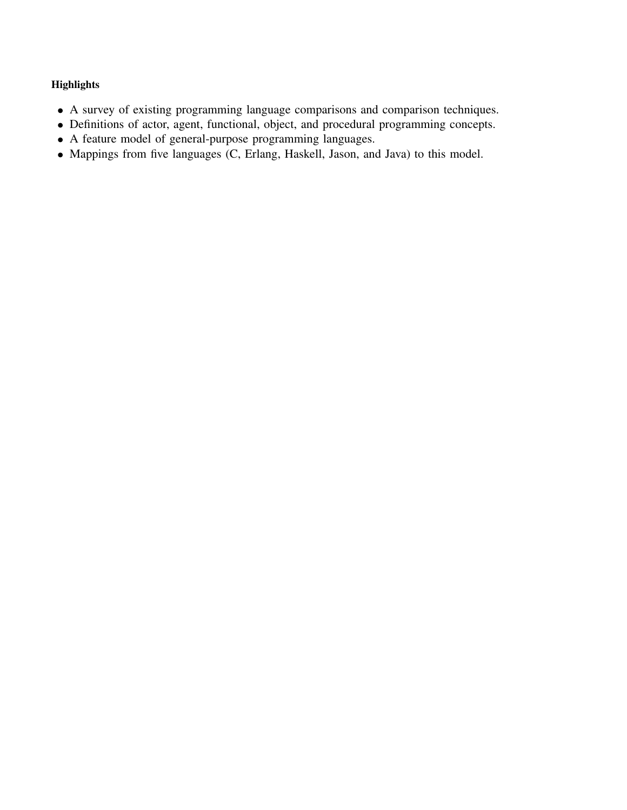## **Highlights**

- A survey of existing programming language comparisons and comparison techniques.
- Definitions of actor, agent, functional, object, and procedural programming concepts.
- A feature model of general-purpose programming languages.
- Mappings from five languages (C, Erlang, Haskell, Jason, and Java) to this model.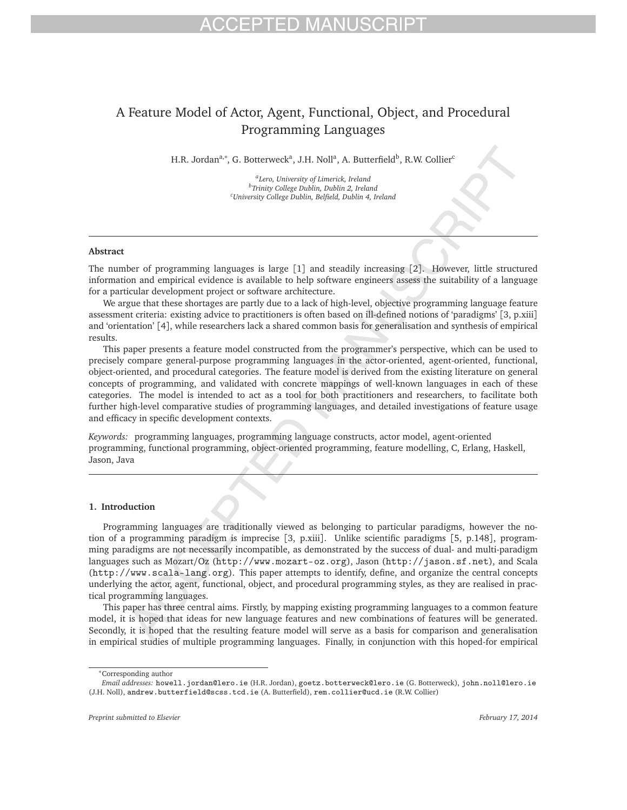## FD MAI

## A Feature Model of Actor, Agent, Functional, Object, and Procedural Programming Languages

H.R. Jordan<sup>a,∗</sup>, G. Botterweck<sup>a</sup>, J.H. Noll<sup>a</sup>, A. Butterfield<sup>b</sup>, R.W. Collier<sup>c</sup>

*aLero, University of Limerick, Ireland bTrinity College Dublin, Dublin 2, Ireland c University College Dublin, Belfield, Dublin 4, Ireland*

## **Abstract**

The number of programming languages is large [1] and steadily increasing [2]. However, little structured information and empirical evidence is available to help software engineers assess the suitability of a language for a particular development project or software architecture.

We argue that these shortages are partly due to a lack of high-level, objective programming language feature assessment criteria: existing advice to practitioners is often based on ill-defined notions of 'paradigms' [3, p.xiii] and 'orientation' [4], while researchers lack a shared common basis for generalisation and synthesis of empirical results.

This paper presents a feature model constructed from the programmer's perspective, which can be used to precisely compare general-purpose programming languages in the actor-oriented, agent-oriented, functional, object-oriented, and procedural categories. The feature model is derived from the existing literature on general concepts of programming, and validated with concrete mappings of well-known languages in each of these categories. The model is intended to act as a tool for both practitioners and researchers, to facilitate both further high-level comparative studies of programming languages, and detailed investigations of feature usage and efficacy in specific development contexts.

*Keywords:* programming languages, programming language constructs, actor model, agent-oriented programming, functional programming, object-oriented programming, feature modelling, C, Erlang, Haskell, Jason, Java

### **1. Introduction**

Programming languages are traditionally viewed as belonging to particular paradigms, however the notion of a programming paradigm is imprecise [3, p.xiii]. Unlike scientific paradigms [5, p.148], programming paradigms are not necessarily incompatible, as demonstrated by the success of dual- and multi-paradigm languages such as Mozart/Oz (http://www.mozart-oz.org), Jason (http://jason.sf.net), and Scala (http://www.scala-lang.org). This paper attempts to identify, define, and organize the central concepts underlying the actor, agent, functional, object, and procedural programming styles, as they are realised in practical programming languages.

This paper has three central aims. Firstly, by mapping existing programming languages to a common feature model, it is hoped that ideas for new language features and new combinations of features will be generated. Secondly, it is hoped that the resulting feature model will serve as a basis for comparison and generalisation in empirical studies of multiple programming languages. Finally, in conjunction with this hoped-for empirical

<sup>∗</sup>Corresponding author

*Email addresses:* howell.jordan@lero.ie (H.R. Jordan), goetz.botterweck@lero.ie (G. Botterweck), john.noll@lero.ie (J.H. Noll), andrew.butterfield@scss.tcd.ie (A. Butterfield), rem.collier@ucd.ie (R.W. Collier)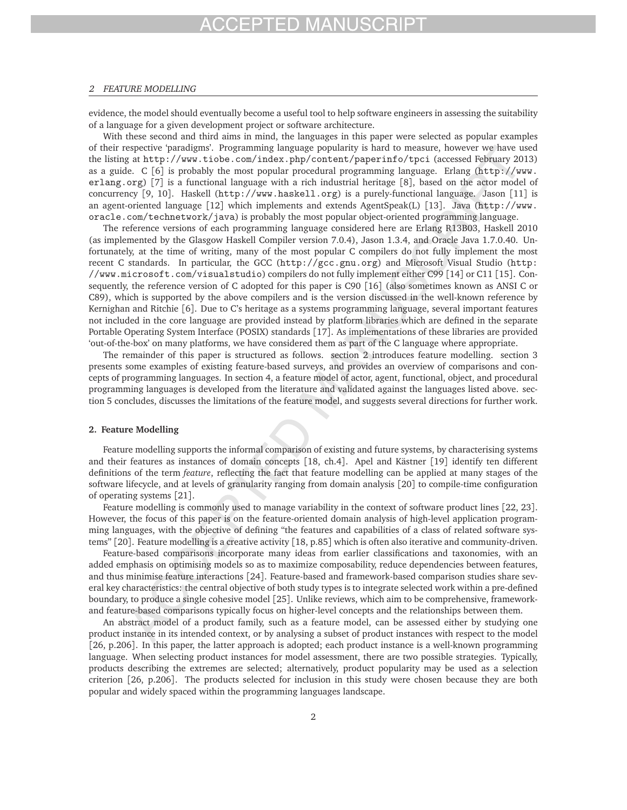## CEPTED MANU

### FEATURE MODELLING

evidence, the model should eventually become a useful tool to help software engineers in assessing the suitability of a language for a given development project or software architecture.

With these second and third aims in mind, the languages in this paper were selected as popular examples of their respective 'paradigms'. Programming language popularity is hard to measure, however we have used the listing at http://www.tiobe.com/index.php/content/paperinfo/tpci (accessed February 2013) as a guide. C [6] is probably the most popular procedural programming language. Erlang (http://www. erlang.org) [7] is a functional language with a rich industrial heritage [8], based on the actor model of concurrency [9, 10]. Haskell (http://www.haskell.org) is a purely-functional language. Jason [11] is an agent-oriented language [12] which implements and extends AgentSpeak(L) [13]. Java (http://www. oracle.com/technetwork/java) is probably the most popular object-oriented programming language.

The reference versions of each programming language considered here are Erlang R13B03, Haskell 2010 (as implemented by the Glasgow Haskell Compiler version 7.0.4), Jason 1.3.4, and Oracle Java 1.7.0.40. Unfortunately, at the time of writing, many of the most popular C compilers do not fully implement the most recent C standards. In particular, the GCC (http://gcc.gnu.org) and Microsoft Visual Studio (http: //www.microsoft.com/visualstudio) compilers do not fully implement either C99 [14] or C11 [15]. Consequently, the reference version of C adopted for this paper is C90 [16] (also sometimes known as ANSI C or C89), which is supported by the above compilers and is the version discussed in the well-known reference by Kernighan and Ritchie [6]. Due to C's heritage as a systems programming language, several important features not included in the core language are provided instead by platform libraries which are defined in the separate Portable Operating System Interface (POSIX) standards [17]. As implementations of these libraries are provided 'out-of-the-box' on many platforms, we have considered them as part of the C language where appropriate.

The remainder of this paper is structured as follows. section 2 introduces feature modelling. section 3 presents some examples of existing feature-based surveys, and provides an overview of comparisons and concepts of programming languages. In section 4, a feature model of actor, agent, functional, object, and procedural programming languages is developed from the literature and validated against the languages listed above. section 5 concludes, discusses the limitations of the feature model, and suggests several directions for further work.

### **2. Feature Modelling**

Feature modelling supports the informal comparison of existing and future systems, by characterising systems and their features as instances of domain concepts [18, ch.4]. Apel and Kästner [19] identify ten different definitions of the term *feature*, reflecting the fact that feature modelling can be applied at many stages of the software lifecycle, and at levels of granularity ranging from domain analysis [20] to compile-time configuration of operating systems [21].

Feature modelling is commonly used to manage variability in the context of software product lines [22, 23]. However, the focus of this paper is on the feature-oriented domain analysis of high-level application programming languages, with the objective of defining "the features and capabilities of a class of related software systems" [20]. Feature modelling is a creative activity [18, p.85] which is often also iterative and community-driven.

Feature-based comparisons incorporate many ideas from earlier classifications and taxonomies, with an added emphasis on optimising models so as to maximize composability, reduce dependencies between features, and thus minimise feature interactions [24]. Feature-based and framework-based comparison studies share several key characteristics: the central objective of both study types is to integrate selected work within a pre-defined boundary, to produce a single cohesive model [25]. Unlike reviews, which aim to be comprehensive, frameworkand feature-based comparisons typically focus on higher-level concepts and the relationships between them.

An abstract model of a product family, such as a feature model, can be assessed either by studying one product instance in its intended context, or by analysing a subset of product instances with respect to the model [26, p.206]. In this paper, the latter approach is adopted; each product instance is a well-known programming language. When selecting product instances for model assessment, there are two possible strategies. Typically, products describing the extremes are selected; alternatively, product popularity may be used as a selection criterion [26, p.206]. The products selected for inclusion in this study were chosen because they are both popular and widely spaced within the programming languages landscape.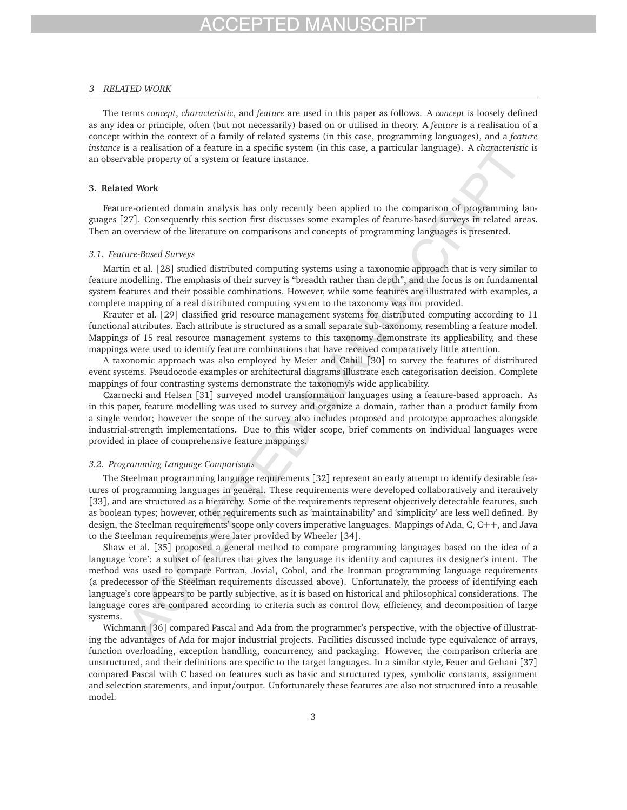### 3 RELATED WORK

The terms *concept*, *characteristic*, and *feature* are used in this paper as follows. A *concept* is loosely defined as any idea or principle, often (but not necessarily) based on or utilised in theory. A *feature* is a realisation of a concept within the context of a family of related systems (in this case, programming languages), and a *feature instance* is a realisation of a feature in a specific system (in this case, a particular language). A *characteristic* is an observable property of a system or feature instance.

### **3. Related Work**

Feature-oriented domain analysis has only recently been applied to the comparison of programming languages [27]. Consequently this section first discusses some examples of feature-based surveys in related areas. Then an overview of the literature on comparisons and concepts of programming languages is presented.

## *3.1. Feature-Based Surveys*

Martin et al. [28] studied distributed computing systems using a taxonomic approach that is very similar to feature modelling. The emphasis of their survey is "breadth rather than depth", and the focus is on fundamental system features and their possible combinations. However, while some features are illustrated with examples, a complete mapping of a real distributed computing system to the taxonomy was not provided.

Krauter et al. [29] classified grid resource management systems for distributed computing according to 11 functional attributes. Each attribute is structured as a small separate sub-taxonomy, resembling a feature model. Mappings of 15 real resource management systems to this taxonomy demonstrate its applicability, and these mappings were used to identify feature combinations that have received comparatively little attention.

A taxonomic approach was also employed by Meier and Cahill [30] to survey the features of distributed event systems. Pseudocode examples or architectural diagrams illustrate each categorisation decision. Complete mappings of four contrasting systems demonstrate the taxonomy's wide applicability.

Czarnecki and Helsen [31] surveyed model transformation languages using a feature-based approach. As in this paper, feature modelling was used to survey and organize a domain, rather than a product family from a single vendor; however the scope of the survey also includes proposed and prototype approaches alongside industrial-strength implementations. Due to this wider scope, brief comments on individual languages were provided in place of comprehensive feature mappings.

### *3.2. Programming Language Comparisons*

The Steelman programming language requirements [32] represent an early attempt to identify desirable features of programming languages in general. These requirements were developed collaboratively and iteratively [33], and are structured as a hierarchy. Some of the requirements represent objectively detectable features, such as boolean types; however, other requirements such as 'maintainability' and 'simplicity' are less well defined. By design, the Steelman requirements' scope only covers imperative languages. Mappings of Ada, C, C++, and Java to the Steelman requirements were later provided by Wheeler [34].

Shaw et al. [35] proposed a general method to compare programming languages based on the idea of a language 'core': a subset of features that gives the language its identity and captures its designer's intent. The method was used to compare Fortran, Jovial, Cobol, and the Ironman programming language requirements (a predecessor of the Steelman requirements discussed above). Unfortunately, the process of identifying each language's core appears to be partly subjective, as it is based on historical and philosophical considerations. The language cores are compared according to criteria such as control flow, efficiency, and decomposition of large systems.

Wichmann [36] compared Pascal and Ada from the programmer's perspective, with the objective of illustrating the advantages of Ada for major industrial projects. Facilities discussed include type equivalence of arrays, function overloading, exception handling, concurrency, and packaging. However, the comparison criteria are unstructured, and their definitions are specific to the target languages. In a similar style, Feuer and Gehani [37] compared Pascal with C based on features such as basic and structured types, symbolic constants, assignment and selection statements, and input/output. Unfortunately these features are also not structured into a reusable model.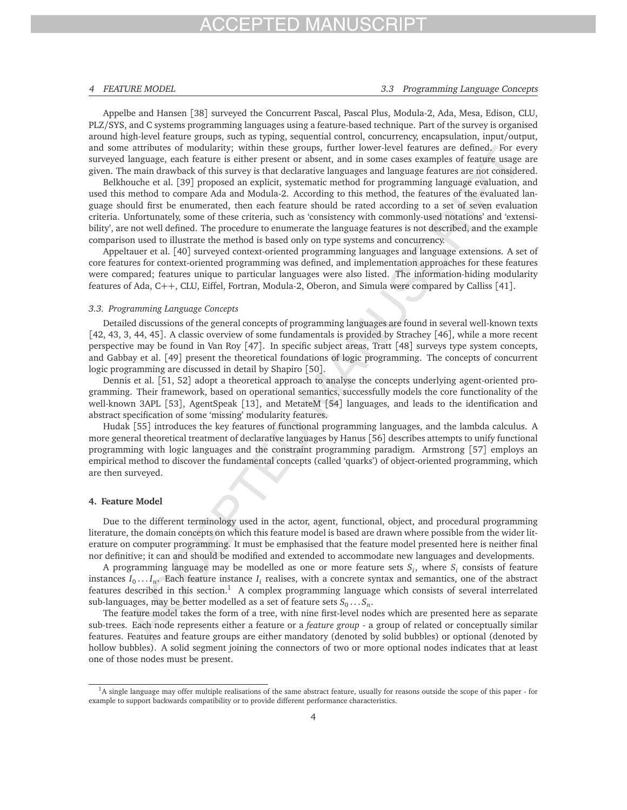## FPTED MAN

Appelbe and Hansen [38] surveyed the Concurrent Pascal, Pascal Plus, Modula-2, Ada, Mesa, Edison, CLU, PLZ/SYS, and C systems programming languages using a feature-based technique. Part of the survey is organised around high-level feature groups, such as typing, sequential control, concurrency, encapsulation, input/output, and some attributes of modularity; within these groups, further lower-level features are defined. For every surveyed language, each feature is either present or absent, and in some cases examples of feature usage are given. The main drawback of this survey is that declarative languages and language features are not considered.

Belkhouche et al. [39] proposed an explicit, systematic method for programming language evaluation, and used this method to compare Ada and Modula-2. According to this method, the features of the evaluated language should first be enumerated, then each feature should be rated according to a set of seven evaluation criteria. Unfortunately, some of these criteria, such as 'consistency with commonly-used notations' and 'extensibility', are not well defined. The procedure to enumerate the language features is not described, and the example comparison used to illustrate the method is based only on type systems and concurrency.

Appeltauer et al. [40] surveyed context-oriented programming languages and language extensions. A set of core features for context-oriented programming was defined, and implementation approaches for these features were compared; features unique to particular languages were also listed. The information-hiding modularity features of Ada, C++, CLU, Eiffel, Fortran, Modula-2, Oberon, and Simula were compared by Calliss [41].

### *3.3. Programming Language Concepts*

Detailed discussions of the general concepts of programming languages are found in several well-known texts [42, 43, 3, 44, 45]. A classic overview of some fundamentals is provided by Strachey [46], while a more recent perspective may be found in Van Roy [47]. In specific subject areas, Tratt [48] surveys type system concepts, and Gabbay et al. [49] present the theoretical foundations of logic programming. The concepts of concurrent logic programming are discussed in detail by Shapiro [50].

Dennis et al. [51, 52] adopt a theoretical approach to analyse the concepts underlying agent-oriented programming. Their framework, based on operational semantics, successfully models the core functionality of the well-known 3APL [53], AgentSpeak [13], and MetateM [54] languages, and leads to the identification and abstract specification of some 'missing' modularity features.

Hudak [55] introduces the key features of functional programming languages, and the lambda calculus. A more general theoretical treatment of declarative languages by Hanus [56] describes attempts to unify functional programming with logic languages and the constraint programming paradigm. Armstrong [57] employs an empirical method to discover the fundamental concepts (called 'quarks') of object-oriented programming, which are then surveyed.

### **4. Feature Model**

Due to the different terminology used in the actor, agent, functional, object, and procedural programming literature, the domain concepts on which this feature model is based are drawn where possible from the wider literature on computer programming. It must be emphasised that the feature model presented here is neither final nor definitive; it can and should be modified and extended to accommodate new languages and developments.

A programming language may be modelled as one or more feature sets *Si*, where *Si* consists of feature instances *I*<sup>0</sup> ... *In*. Each feature instance *Ii* realises, with a concrete syntax and semantics, one of the abstract features described in this section.<sup>1</sup> A complex programming language which consists of several interrelated sub-languages, may be better modelled as a set of feature sets  $S_0 \dots S_n$ .

The feature model takes the form of a tree, with nine first-level nodes which are presented here as separate sub-trees. Each node represents either a feature or a *feature group* - a group of related or conceptually similar features. Features and feature groups are either mandatory (denoted by solid bubbles) or optional (denoted by hollow bubbles). A solid segment joining the connectors of two or more optional nodes indicates that at least one of those nodes must be present.

 $<sup>1</sup>A$  single language may offer multiple realisations of the same abstract feature, usually for reasons outside the scope of this paper - for</sup> example to support backwards compatibility or to provide different performance characteristics.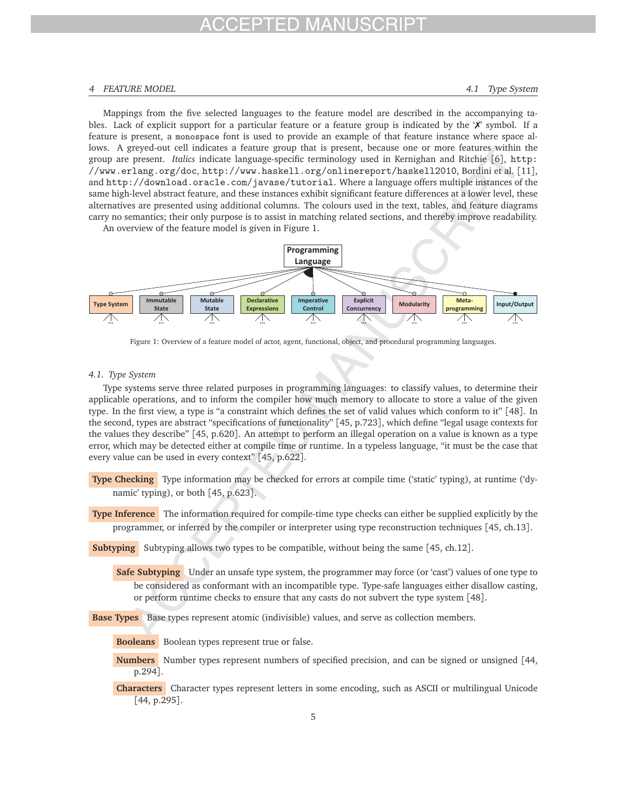## FD MAN

Mappings from the five selected languages to the feature model are described in the accompanying tables. Lack of explicit support for a particular feature or a feature group is indicated by the '<del></del>√' symbol. If a feature is present, a monospace font is used to provide an example of that feature instance where space allows. A greyed-out cell indicates a feature group that is present, because one or more features within the group are present. *Italics* indicate language-specific terminology used in Kernighan and Ritchie [6], http: //www.erlang.org/doc, http://www.haskell.org/onlinereport/haskell2010, Bordini et al. [11], and http://download.oracle.com/javase/tutorial. Where a language offers multiple instances of the same high-level abstract feature, and these instances exhibit significant feature differences at a lower level, these alternatives are presented using additional columns. The colours used in the text, tables, and feature diagrams carry no semantics; their only purpose is to assist in matching related sections, and thereby improve readability.

An overview of the feature model is given in Figure 1.



Figure 1: Overview of a feature model of actor, agent, functional, object, and procedural programming languages.

## *4.1. Type System*

Type systems serve three related purposes in programming languages: to classify values, to determine their applicable operations, and to inform the compiler how much memory to allocate to store a value of the given type. In the first view, a type is "a constraint which defines the set of valid values which conform to it" [48]. In the second, types are abstract "specifications of functionality" [45, p.723], which define "legal usage contexts for the values they describe" [45, p.620]. An attempt to perform an illegal operation on a value is known as a type error, which may be detected either at compile time or runtime. In a typeless language, "it must be the case that every value can be used in every context" [45, p.622].

- **Type Checking** Type information may be checked for errors at compile time ('static' typing), at runtime ('dynamic' typing), or both [45, p.623].
- **Type Inference** The information required for compile-time type checks can either be supplied explicitly by the programmer, or inferred by the compiler or interpreter using type reconstruction techniques [45, ch.13].
- **Subtyping** Subtyping allows two types to be compatible, without being the same [45, ch.12].
	- **Safe Subtyping** Under an unsafe type system, the programmer may force (or 'cast') values of one type to be considered as conformant with an incompatible type. Type-safe languages either disallow casting, or perform runtime checks to ensure that any casts do not subvert the type system [48].
- **Base Types** Base types represent atomic (indivisible) values, and serve as collection members.
	- **Booleans** Boolean types represent true or false.
	- **Numbers** Number types represent numbers of specified precision, and can be signed or unsigned [44, p.294].
	- **Characters** Character types represent letters in some encoding, such as ASCII or multilingual Unicode [44, p.295].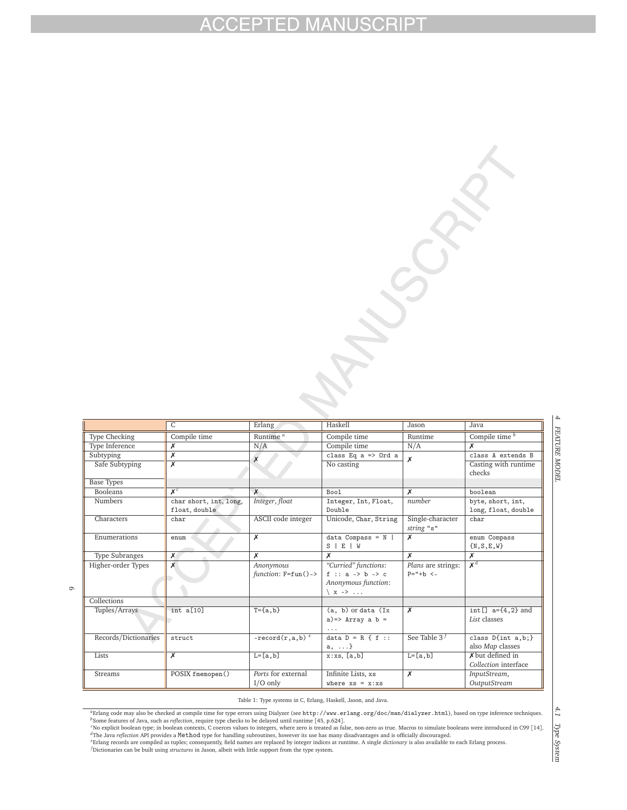### CCEPTED MAN  $\mathcal{S}$ Δ  $\cap$

| ٦ |
|---|
|   |

 $\mathbb{E}$ 

|                       | C                       | Erlang                          | Haskell                                  | Jason              | Java                      |
|-----------------------|-------------------------|---------------------------------|------------------------------------------|--------------------|---------------------------|
| Type Checking         | Compile time            | Runtime <sup>a</sup>            | Compile time                             | Runtime            | Compile time $b$          |
| Type Inference        | х                       | N/A                             | Compile time                             | N/A                | x                         |
| Subtyping             | Х                       | X                               | class Eq $a \Rightarrow$ Ord a           | x                  | class A extends B         |
| Safe Subtyping        | $\overline{\mathsf{x}}$ |                                 | No casting                               |                    | Casting with runtime      |
|                       |                         |                                 |                                          |                    | checks                    |
| Base Types            |                         |                                 |                                          |                    |                           |
| <b>Booleans</b>       | $X^c$                   | X                               | Bool                                     | х                  | boolean                   |
| Numbers               | char short, int, long,  | Integer, float                  | Integer, Int, Float,                     | number             | byte, short, int,         |
|                       | float, double           |                                 | Double                                   |                    | long, float, double       |
| Characters            | char                    | ASCII code integer              | Unicode, Char, String                    | Single-character   | char                      |
|                       |                         |                                 |                                          | string "s"         |                           |
| Enumerations          | enum                    | $\boldsymbol{x}$                | data Compass = $N$                       | Х                  | enum Compass              |
|                       |                         |                                 | $S$   $E$   $W$                          |                    | ${N, S, E, W}$            |
| <b>Type Subranges</b> | X                       | x                               | х                                        | х                  | x                         |
| Higher-order Types    | x                       | Anonymous                       | "Curried" functions:                     | Plans are strings: | $\chi$ <sup>d</sup>       |
|                       |                         | function: $F=fun() \rightarrow$ | $f :: a \rightarrow b \rightarrow c$     | $P = " + h < -$    |                           |
|                       |                         |                                 | Anonymous function:                      |                    |                           |
|                       |                         |                                 | $\langle x \rangle$ $\rightarrow \ldots$ |                    |                           |
| Collections           |                         |                                 |                                          |                    |                           |
| Tuples/Arrays         | int a[10]               | $T = \{a, b\}$                  | $(a, b)$ or data $Ix$                    | x                  | int $[]$ a= $\{4,2\}$ and |
|                       |                         |                                 | a)=> $Array$ a $b =$                     |                    | List classes              |
|                       |                         |                                 | $\cdots$                                 |                    |                           |
| Records/Dictionaries  | struct                  | $-record(r, a, b)$ <sup>e</sup> | data $D = R f f$ :                       | See Table $3^f$    | class D{int a,b;}         |
|                       |                         |                                 | a, }                                     |                    | also Map classes          |
| Lists                 | х                       | $L = [a, b]$                    | x:xs, [a,b]                              | $L = [a, b]$       | X but defined in          |
|                       |                         |                                 |                                          |                    | Collection interface      |
| Streams               | POSIX fmemopen()        | Ports for external              | Infinite Lists, xs                       | x                  | InputStream,              |
|                       |                         | $I/O$ only                      | where $xs = x:xs$                        |                    | <b>OutputStream</b>       |

Table 1: Type systems in C, Erlang, Haskell, Jason, and Java.

<sup>&</sup>quot;Erlang code may also be checked at compile time for type errors using Dialyzer (see http://www.erlang.org/doc/man/dialyzer.html), based on type inference techniques.<br>"Some features of Java, such as *reflection*, require t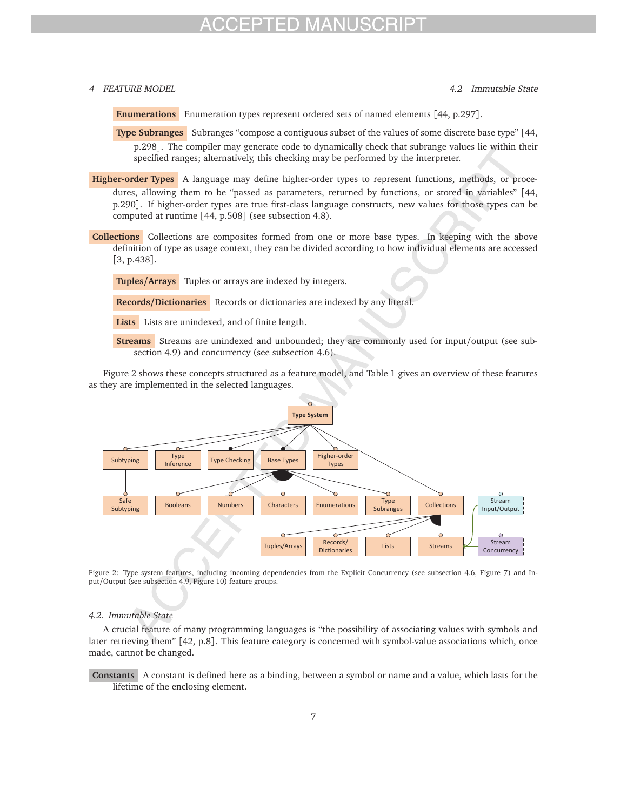## CEPTED MANUS

**Enumerations** Enumeration types represent ordered sets of named elements [44, p.297].

- **Type Subranges** Subranges "compose a contiguous subset of the values of some discrete base type" [44, p.298]. The compiler may generate code to dynamically check that subrange values lie within their specified ranges; alternatively, this checking may be performed by the interpreter.
- **Higher-order Types** A language may define higher-order types to represent functions, methods, or procedures, allowing them to be "passed as parameters, returned by functions, or stored in variables" [44, p.290]. If higher-order types are true first-class language constructs, new values for those types can be computed at runtime [44, p.508] (see subsection 4.8).
- **Collections** Collections are composites formed from one or more base types. In keeping with the above definition of type as usage context, they can be divided according to how individual elements are accessed [3, p.438].

**Tuples/Arrays** Tuples or arrays are indexed by integers.

**Records/Dictionaries** Records or dictionaries are indexed by any literal.

**Lists** Lists are unindexed, and of finite length.

**Streams** Streams are unindexed and unbounded; they are commonly used for input/output (see subsection 4.9) and concurrency (see subsection 4.6).

Figure 2 shows these concepts structured as a feature model, and Table 1 gives an overview of these features as they are implemented in the selected languages.



Figure 2: Type system features, including incoming dependencies from the Explicit Concurrency (see subsection 4.6, Figure 7) and Input/Output (see subsection 4.9, Figure 10) feature groups.

## *4.2. Immutable State*

A crucial feature of many programming languages is "the possibility of associating values with symbols and later retrieving them" [42, p.8]. This feature category is concerned with symbol-value associations which, once made, cannot be changed.

**Constants** A constant is defined here as a binding, between a symbol or name and a value, which lasts for the lifetime of the enclosing element.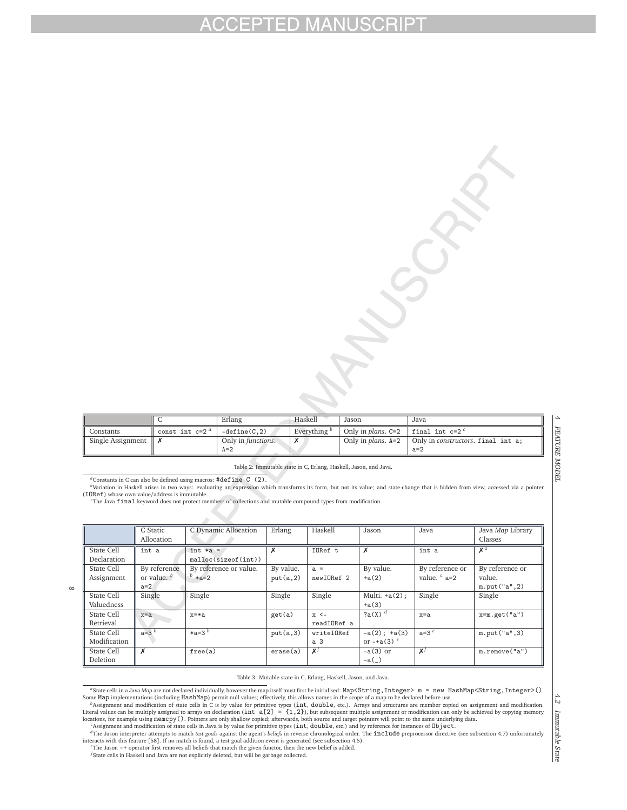## FD MAN

|                   |                              | Erlang                     | Haskell      | Jason                      | Java                               |  |  |
|-------------------|------------------------------|----------------------------|--------------|----------------------------|------------------------------------|--|--|
| Constants         | const int $c=2$ <sup>a</sup> | $-define(C, 2)$            | Everything b | Only in plans. C=2         | I final int $c=2^c$                |  |  |
| Single Assignment |                              | Only in <i>functions</i> . |              | Only in <i>plans</i> , A=2 | Only in constructors. final int a; |  |  |
|                   |                              | $A=2$                      |              |                            | $a=2$                              |  |  |
|                   |                              |                            |              |                            |                                    |  |  |

Table 2: Immutable state in C, Erlang, Haskell, Jason, and Java.

 $\infty$ 

<sup>a</sup>Constants in C can also be defined using macros: #define C (2).<br><sup>b</sup>Variation in Haskell arises in two ways: evaluating an expression which transforms its form, but not its value; and state-change that is hidden from vi (IORef) whose own value/address is immutable. *<sup>c</sup>*

The Java final keyword does not protect members of collections and mutable compound types from modification.

|              | C Static                | C Dynamic Allocation   | Erlang    | Haskell        | Jason            | Java                       | Java Map Library    |
|--------------|-------------------------|------------------------|-----------|----------------|------------------|----------------------------|---------------------|
|              | Allocation              |                        |           |                |                  |                            | Classes             |
| State Cell   | int a                   | int $*a =$             | X         | IORef t        | X                | int a                      | $x^a$               |
| Declaration  |                         | malloc(sizeof(int))    |           |                |                  |                            |                     |
| State Cell   | By reference            | By reference or value. | By value. | $a =$          | By value.        | By reference or            | By reference or     |
| Assignment   | or value. $\frac{b}{2}$ | $b * a = 2$            | put(a,2)  | newIORef 2     | $+a(2)$          | value. $\epsilon$ a=2      | value.              |
|              | $a=2$                   |                        |           |                |                  |                            | $m.$ put $("a", 2)$ |
| State Cell   | Single                  | Single                 | Single    | Single         | Multi. $+a(2)$ ; | $\overline{\text{Single}}$ | Single              |
| Valuedness   |                         |                        |           |                | $+a(3)$          |                            |                     |
| State Cell   | $x=a$                   | $x = *a$               | get(a)    | $x < -$        | $?a(X)^d$        | $x=a$                      | $x=m.get("a")$      |
| Retrieval    |                         |                        |           | readIORef a    |                  |                            |                     |
| State Cell   | $a=3b$                  | $*a=3b$                | put(a,3)  | writeIORef     | $-a(2); +a(3)$   | $a=3$                      | $m.$ put $("a", 3)$ |
| Modification |                         |                        |           | a <sub>3</sub> | or $-+a(3)$ $e$  |                            |                     |
| State Cell   | $\boldsymbol{x}$        | free(a)                | erase(a)  | $X^f$          | $-a(3)$ or       | $\mathbf{x}^f$             | m.remove("a")       |
| Deletion     |                         |                        |           |                | $-a()$           |                            |                     |

Table 3: Mutable state in C, Erlang, Haskell, Jason, and Java.

interacts with this feature [58]. If no match is found, a test goal addition event is generated (see subsection 4.5).<br>The Jason – + operator first removes all beliefs that match the given functor, then the new belief is ad

 $^f$ State cells in Haskell and Java are not explicitly deleted, but will be garbage collected.

<sup>&</sup>lt;sup>a</sup> State cells in a Java *Map* are not declared individually, however the map itself must first be initialised: Map<String, Integer> m = new HashMap<String, Integer>().<br>
Some Map implementations (including HashMap) permi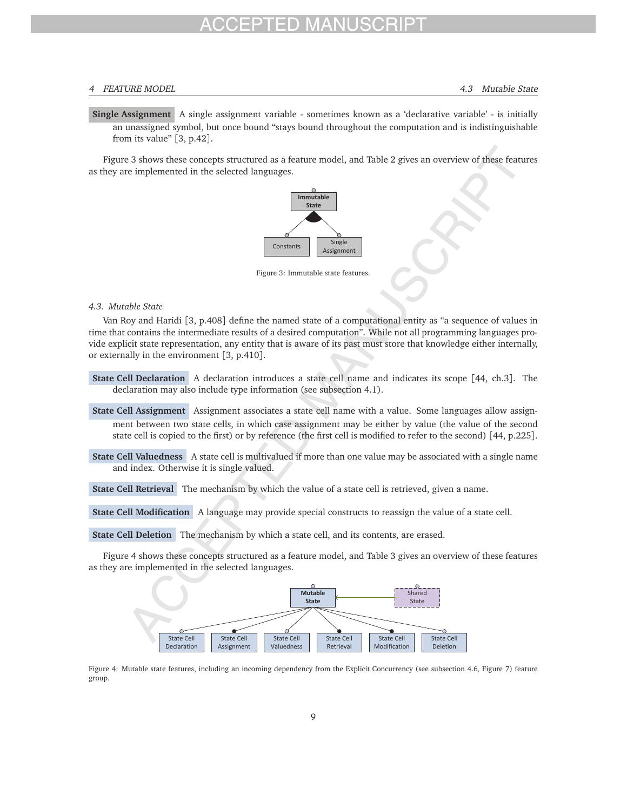## FD MAN

**Single Assignment** A single assignment variable - sometimes known as a 'declarative variable' - is initially an unassigned symbol, but once bound "stays bound throughout the computation and is indistinguishable from its value" [3, p.42].

Figure 3 shows these concepts structured as a feature model, and Table 2 gives an overview of these features as they are implemented in the selected languages.



Figure 3: Immutable state features.

## *4.3. Mutable State*

Van Roy and Haridi [3, p.408] define the named state of a computational entity as "a sequence of values in time that contains the intermediate results of a desired computation". While not all programming languages provide explicit state representation, any entity that is aware of its past must store that knowledge either internally, or externally in the environment [3, p.410].

- **State Cell Declaration** A declaration introduces a state cell name and indicates its scope [44, ch.3]. The declaration may also include type information (see subsection 4.1).
- **State Cell Assignment** Assignment associates a state cell name with a value. Some languages allow assignment between two state cells, in which case assignment may be either by value (the value of the second state cell is copied to the first) or by reference (the first cell is modified to refer to the second) [44, p.225].
- **State Cell Valuedness** A state cell is multivalued if more than one value may be associated with a single name and index. Otherwise it is single valued.

**State Cell Retrieval** The mechanism by which the value of a state cell is retrieved, given a name.

**State Cell Modification** A language may provide special constructs to reassign the value of a state cell.

**State Cell Deletion** The mechanism by which a state cell, and its contents, are erased.

Figure 4 shows these concepts structured as a feature model, and Table 3 gives an overview of these features as they are implemented in the selected languages.



Figure 4: Mutable state features, including an incoming dependency from the Explicit Concurrency (see subsection 4.6, Figure 7) feature group.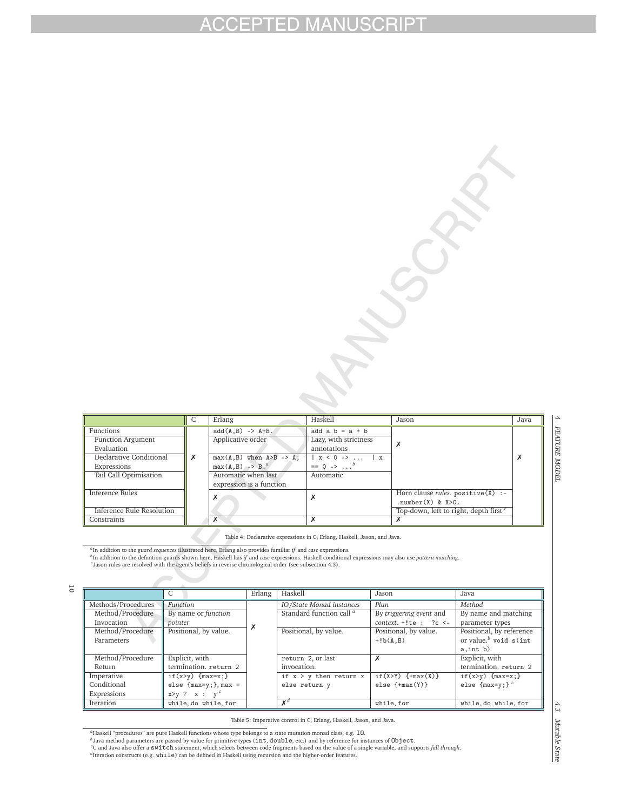### CCEPTED MANUSCRIPT Δ

|                                                                                                                         | $\overline{C}$   | Erlang                                                                                                                                                                           | Haskell                                                                                                                                             | Jason                                                                                                                              | Java |
|-------------------------------------------------------------------------------------------------------------------------|------------------|----------------------------------------------------------------------------------------------------------------------------------------------------------------------------------|-----------------------------------------------------------------------------------------------------------------------------------------------------|------------------------------------------------------------------------------------------------------------------------------------|------|
| Functions<br><b>Function Argument</b><br>Evaluation<br>Declarative Conditional<br>Expressions<br>Tail Call Optimisation | $\boldsymbol{x}$ | $add(A, B) \rightarrow A+B.$<br>Applicative order<br>$max(A, B)$ when $A > B \rightarrow A$ ;<br>$max(A, B) \rightarrow B.^a$<br>Automatic when last<br>expression is a function | $add a b = a + b$<br>Lazy, with strictness<br>annotations<br>$\vert x \leq 0 \rightarrow \ldots$<br>$\vert x$<br>$= 0$ -> <sup>b</sup><br>Automatic | $\boldsymbol{x}$                                                                                                                   | Х    |
| <b>Inference Rules</b><br><b>Inference Rule Resolution</b><br>Constraints                                               |                  | Х<br>$\overline{\mathsf{x}}$                                                                                                                                                     | X<br>$\overline{\mathbf{x}}$                                                                                                                        | Horn clause rules. positive (X) :-<br>.number $(X)$ & $X>0$ .<br>Top-down, left to right, depth first c<br>$\overline{\mathsf{x}}$ |      |

Table 4: Declarative expressions in C, Erlang, Haskell, Jason, and Java.

*<sup>a</sup>*In addition to the *guard sequences* illustrated here, Erlang also provides familiar *if* and *case* expressions.

<sup>b</sup>In addition to the definition guards shown here, Haskell has if and case expressions. Haskell conditional expressions may also use *pattern matching.*<br>'Jason rules are resolved with the agent's beliefs in reverse chrono

10

|                    | C                         | Erlang | Haskell                             | Jason                    | Java                               |
|--------------------|---------------------------|--------|-------------------------------------|--------------------------|------------------------------------|
| Methods/Procedures | Function                  |        | IO/State Monad instances            | Plan                     | Method                             |
| Method/Procedure   | By name or function       |        | Standard function call <sup>a</sup> | By triggering event and  | By name and matching               |
| Invocation         | pointer                   | Х      |                                     | context. $+!$ te : ?c <- | parameter types                    |
| Method/Procedure   | Positional, by value.     |        | Positional, by value.               | Positional, by value.    | Positional, by reference           |
| Parameters         |                           |        |                                     | $+!b(A,B)$               | or value. <sup>b</sup> void s(int) |
|                    |                           |        |                                     |                          | a, int b)                          |
| Method/Procedure   | Explicit, with            |        | return 2, or last                   | х                        | Explicit, with                     |
| Return             | termination, return 2     |        | invocation.                         |                          | termination, return 2              |
| Imperative         | if $(x>y)$ $\{max=x;\}$   |        | if $x > y$ then return $x$          | if(X>Y) ${+max(X)}$      | if $(x>y)$ {max=x; }               |
| Conditional        | else $\{max=y;\}$ , max = |        | else return v                       | else $f+max(Y)$ }        | else ${max=y;}^c$                  |
| Expressions        | $x > y$ ? $x : y^c$       |        |                                     |                          |                                    |
| Iteration          | while, do while, for      |        | $\boldsymbol{X}^d$                  | while, for               | while, do while, for               |

Table 5: Imperative control in C, Erlang, Haskell, Jason, and Java.

<sup>4</sup>Haskell "procedures" are pure Haskell functions whose type belongs to a state mutation monad class, e.g. **IO.**<br><sup>6</sup>Jaya method parameters are passed by value for primitive types (**int., double,** etc.) and by reference f

<sup>c</sup>C and Java also offer a switch statement, which selects between code fragments based on the value of a single variable, and supports fall through.<br><sup>d</sup>Iteration constructs (e.g. while) can be defined in Haskell using rec

4.3 Mutable State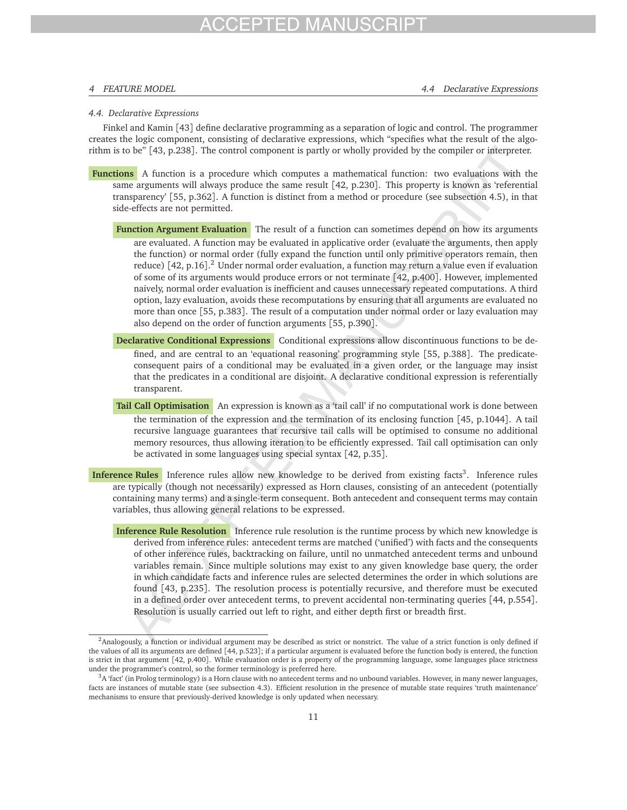# FPTED MANU

### *4.4. Declarative Expressions*

Finkel and Kamin [43] define declarative programming as a separation of logic and control. The programmer creates the logic component, consisting of declarative expressions, which "specifies what the result of the algorithm is to be" [43, p.238]. The control component is partly or wholly provided by the compiler or interpreter.

**Functions** A function is a procedure which computes a mathematical function: two evaluations with the same arguments will always produce the same result [42, p.230]. This property is known as 'referential transparency' [55, p.362]. A function is distinct from a method or procedure (see subsection 4.5), in that side-effects are not permitted.

- **Function Argument Evaluation** The result of a function can sometimes depend on how its arguments are evaluated. A function may be evaluated in applicative order (evaluate the arguments, then apply the function) or normal order (fully expand the function until only primitive operators remain, then reduce) [42, p.16]. $^2$  Under normal order evaluation, a function may return a value even if evaluation of some of its arguments would produce errors or not terminate [42, p.400]. However, implemented naively, normal order evaluation is inefficient and causes unnecessary repeated computations. A third option, lazy evaluation, avoids these recomputations by ensuring that all arguments are evaluated no more than once [55, p.383]. The result of a computation under normal order or lazy evaluation may also depend on the order of function arguments [55, p.390].
- **Declarative Conditional Expressions** Conditional expressions allow discontinuous functions to be defined, and are central to an 'equational reasoning' programming style [55, p.388]. The predicateconsequent pairs of a conditional may be evaluated in a given order, or the language may insist that the predicates in a conditional are disjoint. A declarative conditional expression is referentially transparent.
- **Tail Call Optimisation** An expression is known as a 'tail call' if no computational work is done between the termination of the expression and the termination of its enclosing function [45, p.1044]. A tail recursive language guarantees that recursive tail calls will be optimised to consume no additional memory resources, thus allowing iteration to be efficiently expressed. Tail call optimisation can only be activated in some languages using special syntax [42, p.35].
- **Inference Rules** Inference rules allow new knowledge to be derived from existing facts<sup>3</sup>. Inference rules are typically (though not necessarily) expressed as Horn clauses, consisting of an antecedent (potentially containing many terms) and a single-term consequent. Both antecedent and consequent terms may contain variables, thus allowing general relations to be expressed.
	- **Inference Rule Resolution** Inference rule resolution is the runtime process by which new knowledge is derived from inference rules: antecedent terms are matched ('unified') with facts and the consequents of other inference rules, backtracking on failure, until no unmatched antecedent terms and unbound variables remain. Since multiple solutions may exist to any given knowledge base query, the order in which candidate facts and inference rules are selected determines the order in which solutions are found [43, p.235]. The resolution process is potentially recursive, and therefore must be executed in a defined order over antecedent terms, to prevent accidental non-terminating queries [44, p.554]. Resolution is usually carried out left to right, and either depth first or breadth first.

 $2$ Analogously, a function or individual argument may be described as strict or nonstrict. The value of a strict function is only defined if the values of all its arguments are defined [44, p.523]; if a particular argument is evaluated before the function body is entered, the function is strict in that argument [42, p.400]. While evaluation order is a property of the programming language, some languages place strictness under the programmer's control, so the former terminology is preferred here.

 ${}^{3}A$  'fact' (in Prolog terminology) is a Horn clause with no antecedent terms and no unbound variables. However, in many newer languages, facts are instances of mutable state (see subsection 4.3). Efficient resolution in the presence of mutable state requires 'truth maintenance' mechanisms to ensure that previously-derived knowledge is only updated when necessary.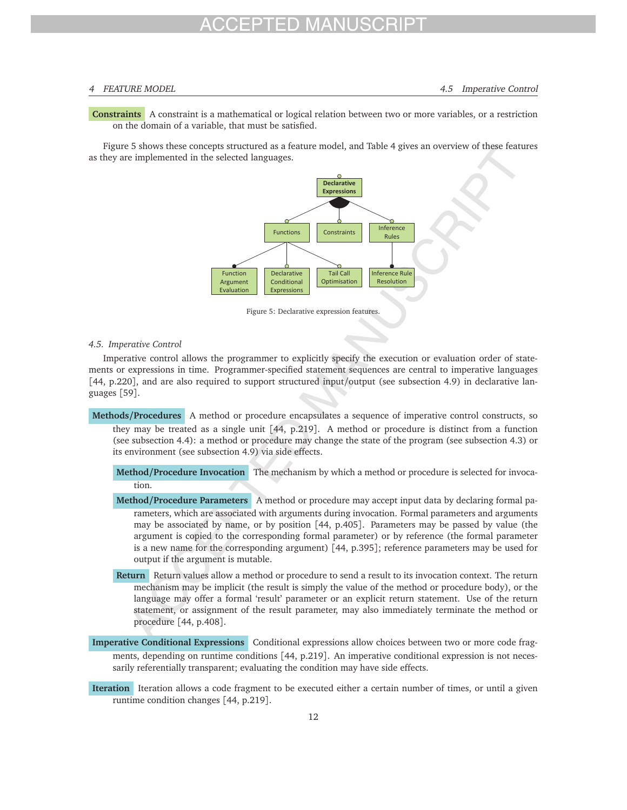## FD MAI

**Constraints** A constraint is a mathematical or logical relation between two or more variables, or a restriction on the domain of a variable, that must be satisfied.

Figure 5 shows these concepts structured as a feature model, and Table 4 gives an overview of these features as they are implemented in the selected languages.



Figure 5: Declarative expression features.

### *4.5. Imperative Control*

Imperative control allows the programmer to explicitly specify the execution or evaluation order of statements or expressions in time. Programmer-specified statement sequences are central to imperative languages [44, p.220], and are also required to support structured input/output (see subsection 4.9) in declarative languages [59].

**Methods/Procedures** A method or procedure encapsulates a sequence of imperative control constructs, so they may be treated as a single unit [44, p.219]. A method or procedure is distinct from a function (see subsection 4.4): a method or procedure may change the state of the program (see subsection 4.3) or its environment (see subsection 4.9) via side effects.

**Method/Procedure Invocation** The mechanism by which a method or procedure is selected for invocation.

- **Method/Procedure Parameters** A method or procedure may accept input data by declaring formal parameters, which are associated with arguments during invocation. Formal parameters and arguments may be associated by name, or by position [44, p.405]. Parameters may be passed by value (the argument is copied to the corresponding formal parameter) or by reference (the formal parameter is a new name for the corresponding argument) [44, p.395]; reference parameters may be used for output if the argument is mutable.
- **Return** Return values allow a method or procedure to send a result to its invocation context. The return mechanism may be implicit (the result is simply the value of the method or procedure body), or the language may offer a formal 'result' parameter or an explicit return statement. Use of the return statement, or assignment of the result parameter, may also immediately terminate the method or procedure [44, p.408].
- **Imperative Conditional Expressions** Conditional expressions allow choices between two or more code fragments, depending on runtime conditions [44, p.219]. An imperative conditional expression is not necessarily referentially transparent; evaluating the condition may have side effects.
- **Iteration** Iteration allows a code fragment to be executed either a certain number of times, or until a given runtime condition changes [44, p.219].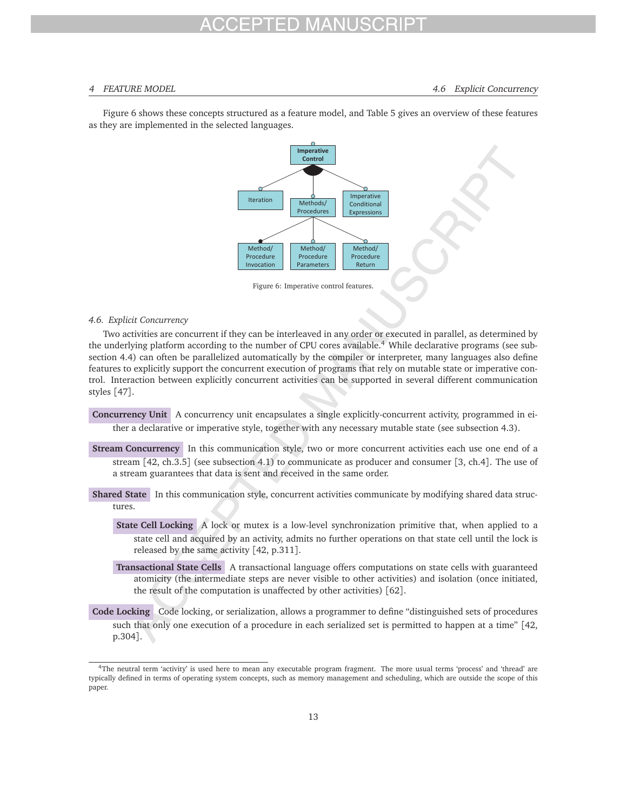## FPTED MANIL

Figure 6 shows these concepts structured as a feature model, and Table 5 gives an overview of these features as they are implemented in the selected languages.



## *4.6. Explicit Concurrency*

Two activities are concurrent if they can be interleaved in any order or executed in parallel, as determined by the underlying platform according to the number of CPU cores available.<sup>4</sup> While declarative programs (see subsection 4.4) can often be parallelized automatically by the compiler or interpreter, many languages also define features to explicitly support the concurrent execution of programs that rely on mutable state or imperative control. Interaction between explicitly concurrent activities can be supported in several different communication styles [47].

**Concurrency Unit** A concurrency unit encapsulates a single explicitly-concurrent activity, programmed in either a declarative or imperative style, together with any necessary mutable state (see subsection 4.3).

- **Stream Concurrency** In this communication style, two or more concurrent activities each use one end of a stream [42, ch.3.5] (see subsection 4.1) to communicate as producer and consumer [3, ch.4]. The use of a stream guarantees that data is sent and received in the same order.
- **Shared State** In this communication style, concurrent activities communicate by modifying shared data structures.
	- **State Cell Locking** A lock or mutex is a low-level synchronization primitive that, when applied to a state cell and acquired by an activity, admits no further operations on that state cell until the lock is released by the same activity [42, p.311].
	- **Transactional State Cells** A transactional language offers computations on state cells with guaranteed atomicity (the intermediate steps are never visible to other activities) and isolation (once initiated, the result of the computation is unaffected by other activities) [62].
- **Code Locking** Code locking, or serialization, allows a programmer to define "distinguished sets of procedures such that only one execution of a procedure in each serialized set is permitted to happen at a time" [42, p.304].

<sup>4</sup>The neutral term 'activity' is used here to mean any executable program fragment. The more usual terms 'process' and 'thread' are typically defined in terms of operating system concepts, such as memory management and scheduling, which are outside the scope of this paper.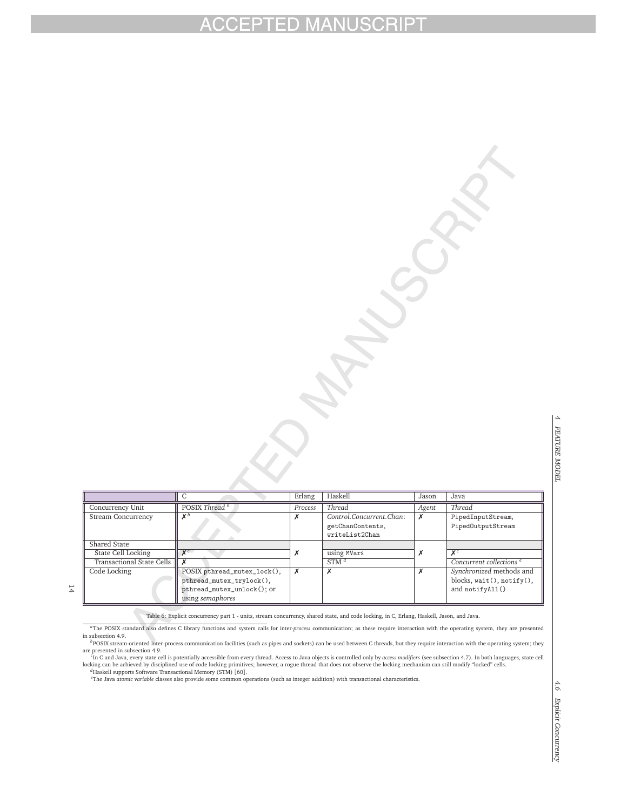### CCEPTED MAN  $\mathcal{L}$ Δ

|                           |                             | Erlang  | Haskell                  | Jason | Java                                |
|---------------------------|-----------------------------|---------|--------------------------|-------|-------------------------------------|
| Concurrency Unit          | POSIX Thread <sup>a</sup>   | Process | <b>Thread</b>            | Agent | Thread                              |
| <b>Stream Concurrency</b> | $X^b$                       | Х       | Control.Concurrent.Chan: | х     | PipedInputStream,                   |
|                           |                             |         | getChanContents,         |       | PipedOutputStream                   |
|                           |                             |         | writeList2Chan           |       |                                     |
| Shared State              |                             |         |                          |       |                                     |
| State Cell Locking        | YC                          | х       | using MVars              | х     | $X^{c}$                             |
| Transactional State Cells |                             |         | STM <sup>d</sup>         |       | Concurrent collections <sup>e</sup> |
| Code Locking              | POSIX pthread_mutex_lock(), | x       | X                        |       | Synchronized methods and            |
|                           | pthread_mutex_trylock(),    |         |                          |       | blocks, wait(), notify(),           |
|                           | pthread_mutex_unlock(); or  |         |                          |       | and notifyAll()                     |
|                           | using semaphores            |         |                          |       |                                     |

Table 6: Explicit concurrency part 1 - units, stream concurrency, shared state, and code locking, in C, Erlang, Haskell, Jason, and Java.

<sup>a</sup>The POSIX standard also defines C library functions and system calls for inter-*process* communication; as these require interaction with the operating system, they are presented in subsection 4.9.

are presented in subsection 4.9.<br><sup>6</sup>In C and Java, every state cell is potentially accessible from every thread. Access to Java objects is controlled only by *access modifiers* (see subsection 4.7). In both languages, stat

*b*POSIX stream-oriented inter-process communication facilities (such as pipes and sockets) can be used between C threads, but they require interaction with the operating system; they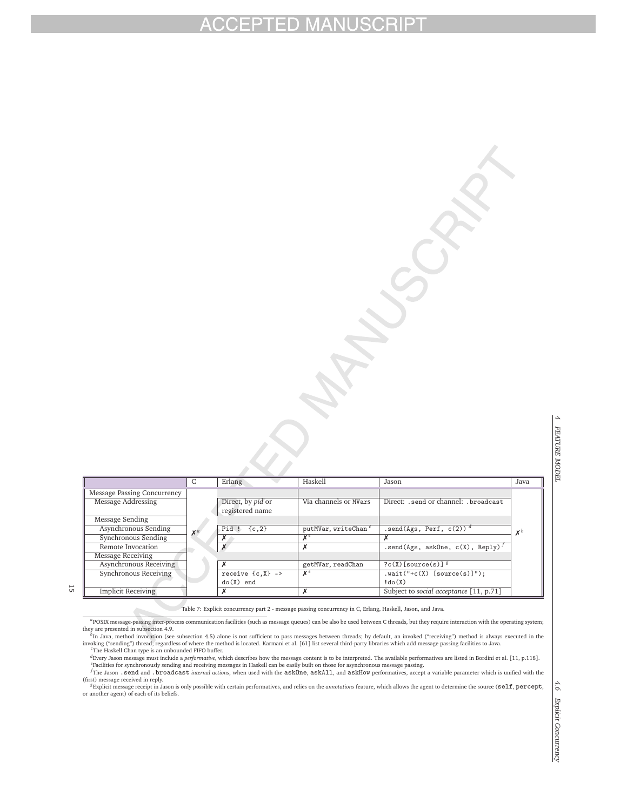### FPTFD MA C.

| ١                |
|------------------|
| r<br>٢<br>J<br>1 |
|                  |
|                  |

 $\frac{1}{1}$ 

|                             | C.    | Erlang                | Haskell                         | Jason                                           | Java  |  |  |  |
|-----------------------------|-------|-----------------------|---------------------------------|-------------------------------------------------|-------|--|--|--|
| Message Passing Concurrency |       |                       |                                 |                                                 |       |  |  |  |
| Message Addressing          |       | Direct, by pid or     | Via channels or MVars           | Direct: .send or channel: .broadcast            |       |  |  |  |
|                             |       | registered name       |                                 |                                                 |       |  |  |  |
| Message Sending             |       |                       |                                 |                                                 |       |  |  |  |
| Asynchronous Sending        | $x^a$ | $\{c, 2\}$<br>Pid !   | putMVar, writeChan <sup>c</sup> | .send(Ags, Perf, $c(2)$ ) <sup>d</sup>          | $x^b$ |  |  |  |
| Synchronous Sending         |       |                       | $X^e$                           |                                                 |       |  |  |  |
| Remote Invocation           |       |                       |                                 | .send(Ags, askOne, $c(X)$ , Reply) <sup>f</sup> |       |  |  |  |
| Message Receiving           |       |                       |                                 |                                                 |       |  |  |  |
| Asynchronous Receiving      |       |                       | getMVar, readChan               | $?c(X)$ [source(s)] $§$                         |       |  |  |  |
| Synchronous Receiving       |       | receive $\{c, X\}$ -> | $X^e$                           | $wait("+c(X) [source(s)]")$ ;                   |       |  |  |  |
|                             |       | $do(X)$ end           |                                 | $d_{\mathcal{O}}(X)$                            |       |  |  |  |
| <b>Implicit Receiving</b>   |       |                       | x                               | Subject to social acceptance [11, p.71]         |       |  |  |  |

Table 7: Explicit concurrency part 2 - message passing concurrency in C, Erlang, Haskell, Jason, and Java.

<sup>4</sup> POSIX message-passing inter-process communication facilities (such as message queues) can be also be used between C threads, but they require interaction with the operating system; they recented in subsection 4.9.<br>htt

invoking ("sending") thread, regardless of where the method is located. Karmani et al. [61] list several third-party libraries which add message passing facilities to Java.<br>
"The Haskell Chan type is an unbounded FIFO buff

(first) message received in reply.<br><sup>8</sup> Explicit message receipt in Jason is only possible with certain performatives, and relies on the *annotations* feature, which allows the agent to determine the source (**self, percept,**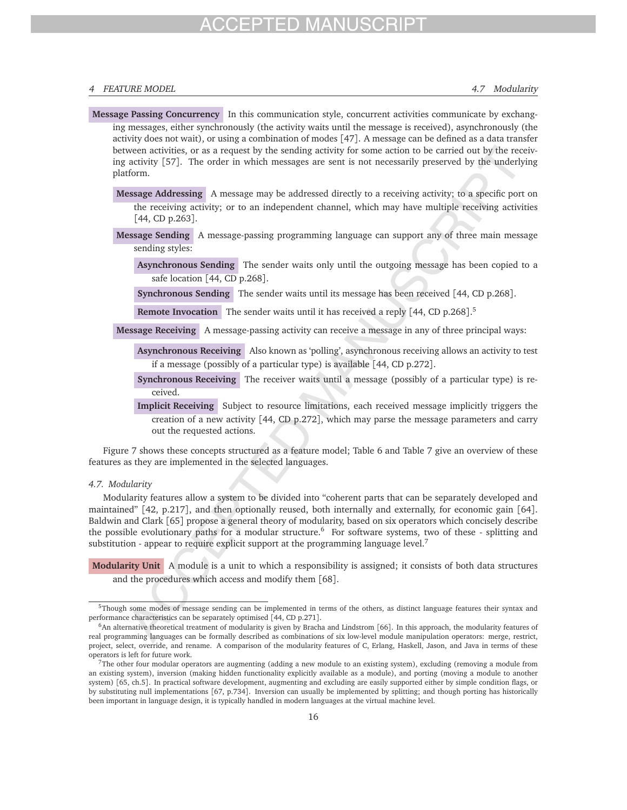## FPTED MAN

## FEATURE MODEL **All and STATURE MODEL 4.7 Modularity 4.7 Modularity**

**Message Passing Concurrency** In this communication style, concurrent activities communicate by exchanging messages, either synchronously (the activity waits until the message is received), asynchronously (the activity does not wait), or using a combination of modes [47]. A message can be defined as a data transfer between activities, or as a request by the sending activity for some action to be carried out by the receiving activity [57]. The order in which messages are sent is not necessarily preserved by the underlying platform.

**Message Addressing** A message may be addressed directly to a receiving activity; to a specific port on the receiving activity; or to an independent channel, which may have multiple receiving activities [44, CD p.263].

**Message Sending** A message-passing programming language can support any of three main message sending styles:

**Asynchronous Sending** The sender waits only until the outgoing message has been copied to a safe location [44, CD p.268].

**Synchronous Sending** The sender waits until its message has been received [44, CD p.268].

**Remote Invocation** The sender waits until it has received a reply [44, CD p.268].<sup>5</sup>

**Message Receiving** A message-passing activity can receive a message in any of three principal ways:

**Asynchronous Receiving** Also known as 'polling', asynchronous receiving allows an activity to test if a message (possibly of a particular type) is available [44, CD p.272].

**Synchronous Receiving** The receiver waits until a message (possibly of a particular type) is received.

**Implicit Receiving** Subject to resource limitations, each received message implicitly triggers the creation of a new activity [44, CD p.272], which may parse the message parameters and carry out the requested actions.

Figure 7 shows these concepts structured as a feature model; Table 6 and Table 7 give an overview of these features as they are implemented in the selected languages.

## *4.7. Modularity*

Modularity features allow a system to be divided into "coherent parts that can be separately developed and maintained" [42, p.217], and then optionally reused, both internally and externally, for economic gain [64]. Baldwin and Clark [65] propose a general theory of modularity, based on six operators which concisely describe the possible evolutionary paths for a modular structure.<sup>6</sup> For software systems, two of these - splitting and substitution - appear to require explicit support at the programming language level.<sup>7</sup>

**Modularity Unit** A module is a unit to which a responsibility is assigned; it consists of both data structures and the procedures which access and modify them [68].

<sup>&</sup>lt;sup>5</sup>Though some modes of message sending can be implemented in terms of the others, as distinct language features their syntax and performance characteristics can be separately optimised [44, CD p.271].<br><sup>6</sup>An alternative theoretical treatment of modularity is given by Bracha and Lindstrom [66]. In this approach, the modularity features of

real programming languages can be formally described as combinations of six low-level module manipulation operators: merge, restrict, project, select, override, and rename. A comparison of the modularity features of C, Erlang, Haskell, Jason, and Java in terms of these operators is left for future work.

<sup>7</sup>The other four modular operators are augmenting (adding a new module to an existing system), excluding (removing a module from an existing system), inversion (making hidden functionality explicitly available as a module), and porting (moving a module to another system) [65, ch.5]. In practical software development, augmenting and excluding are easily supported either by simple condition flags, or by substituting null implementations [67, p.734]. Inversion can usually be implemented by splitting; and though porting has historically been important in language design, it is typically handled in modern languages at the virtual machine level.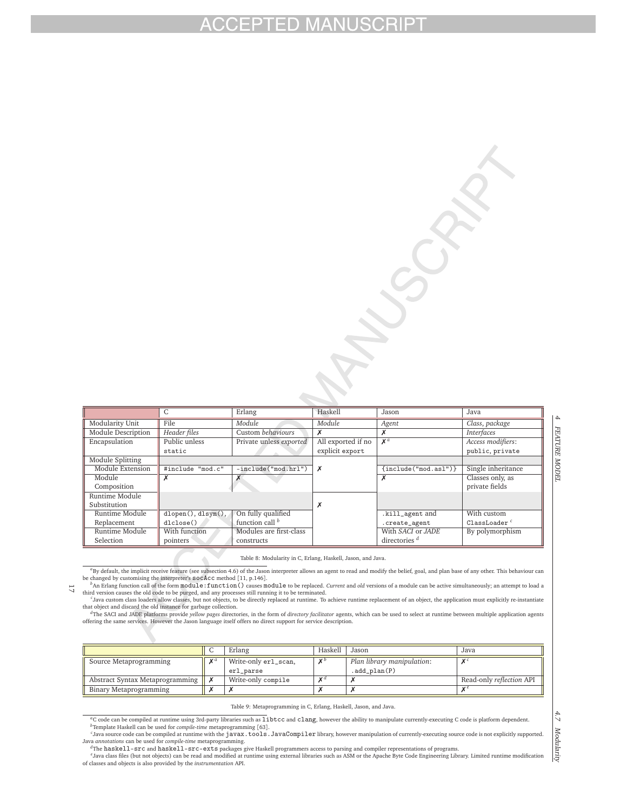## FD MA

|                    |                                                  | Erlang                  | Haskell            | Jason                    | Java                   |  |  |  |
|--------------------|--------------------------------------------------|-------------------------|--------------------|--------------------------|------------------------|--|--|--|
| Modularity Unit    | File                                             | Module                  | Module             | Agent                    | Class, package         |  |  |  |
| Module Description | Header files                                     | Custom behaviours       | x                  | х                        | Interfaces             |  |  |  |
| Encapsulation      | Public unless                                    | Private unless exported | All exported if no | $x^a$                    | Access modifiers:      |  |  |  |
|                    | static                                           |                         | explicit export    |                          | public, private        |  |  |  |
| Module Splitting   |                                                  |                         |                    |                          |                        |  |  |  |
| Module Extension   | #include "mod.c"                                 | -include("mod.hrl")     | Х                  | $\{include("mod.as1")\}$ | Single inheritance     |  |  |  |
| Module             |                                                  |                         |                    | v                        | Classes only, as       |  |  |  |
| Composition        |                                                  |                         |                    |                          | private fields         |  |  |  |
| Runtime Module     |                                                  |                         |                    |                          |                        |  |  |  |
| Substitution       |                                                  |                         | X                  |                          |                        |  |  |  |
| Runtime Module     | $\overline{\text{dlopen}}($ , $\text{dlsym}()$ , | On fully qualified      |                    | .kill_agent and          | With custom            |  |  |  |
| Replacement        | dlclose()                                        | function call $b$       |                    | .create_agent            | $\text{ClassLoader}^c$ |  |  |  |
| Runtime Module     | With function                                    | Modules are first-class |                    | With SACI or JADE        | By polymorphism        |  |  |  |
| Selection          | pointers                                         | constructs              |                    | directories $d$          |                        |  |  |  |

Table 8: Modularity in C, Erlang, Haskell, Jason, and Java.

<sup>a</sup>By default, the implicit receive feature (see subsection 4.6) of the Jason interpreter allows an agent to read and modify the belief, goal, and plan base of any other. This behaviour can be changed by customising the in

 ${}^b$ An Erlang function call of the form module: function () causes module to be replaced. Current and old versions of a module can be active simultaneously; an attempt to load a third version causes the old code to be purged, and any processes still running it to be terminated.<br><sup>C</sup>Java custom class loaders allow classes, but not objects, to be directly replaced at runtime. To achieve runtime repla 17

that object and discard the old instance for garbage collection.<br>"The SACI and JADE platforms provide yellow pages directories, in the form of *directory facilitator* agents, which can be used to select at runtime between

|                                 |          | Erlang               | Haskell        | Jason                      | Java                     |
|---------------------------------|----------|----------------------|----------------|----------------------------|--------------------------|
| Source Metaprogramming          | $\vee$ a | Write-only erl_scan, | $\mathbf{v}$   | Plan library manipulation: | V <sub>c</sub>           |
|                                 |          | erl_parse            |                | $.add-plane(P)$            |                          |
| Abstract Syntax Metaprogramming |          | Write-only compile   | $\overline{u}$ |                            | Read-only reflection API |
| Binary Metaprogramming          |          |                      |                |                            | $\boldsymbol{u} \in$     |

Table 9: Metaprogramming in C, Erlang, Haskell, Jason, and Java.

Java *annotations* can be used for *compile-time* metaprogramming.

<sup>d</sup>The **haskell-src** and **haskell-src-exts** packages give Haskell programmers access to parsing and compiler representations of programs.<br>"Java class files (but not objects) can be read and modified at runtime using extern

of classes and objects is also provided by the *instrumentation* API.

4FEATUREMODEL

<sup>&</sup>lt;sup>a</sup>C code can be compiled at runtime using 3rd-party libraries such as **libtcc** and **clang**, however the ability to manipulate currently-executing C code is platform dependent.<br><sup>b</sup>Template Haskell can be used for *compile-*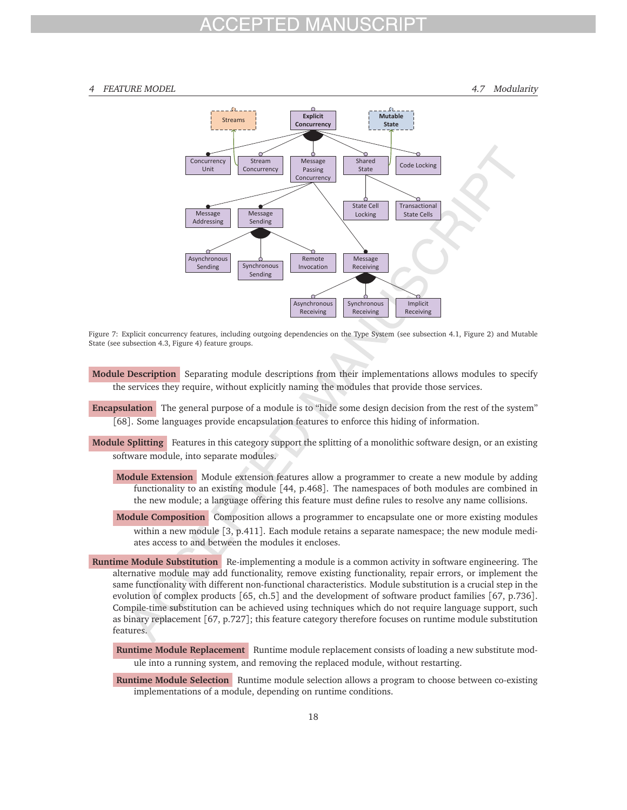## CEPTED MANUS

## FEATURE MODEL **All and STATURE MODEL 4.7 Modularity 4.7 Modularity**



Figure 7: Explicit concurrency features, including outgoing dependencies on the Type System (see subsection 4.1, Figure 2) and Mutable State (see subsection 4.3, Figure 4) feature groups.

**Module Description** Separating module descriptions from their implementations allows modules to specify the services they require, without explicitly naming the modules that provide those services.

- **Encapsulation** The general purpose of a module is to "hide some design decision from the rest of the system" [68]. Some languages provide encapsulation features to enforce this hiding of information.
- **Module Splitting** Features in this category support the splitting of a monolithic software design, or an existing software module, into separate modules.
	- **Module Extension** Module extension features allow a programmer to create a new module by adding functionality to an existing module [44, p.468]. The namespaces of both modules are combined in the new module; a language offering this feature must define rules to resolve any name collisions.
	- **Module Composition** Composition allows a programmer to encapsulate one or more existing modules within a new module [3, p.411]. Each module retains a separate namespace; the new module mediates access to and between the modules it encloses.
- **Runtime Module Substitution** Re-implementing a module is a common activity in software engineering. The alternative module may add functionality, remove existing functionality, repair errors, or implement the same functionality with different non-functional characteristics. Module substitution is a crucial step in the evolution of complex products [65, ch.5] and the development of software product families [67, p.736]. Compile-time substitution can be achieved using techniques which do not require language support, such as binary replacement [67, p.727]; this feature category therefore focuses on runtime module substitution features.

**Runtime Module Replacement** Runtime module replacement consists of loading a new substitute module into a running system, and removing the replaced module, without restarting.

**Runtime Module Selection** Runtime module selection allows a program to choose between co-existing implementations of a module, depending on runtime conditions.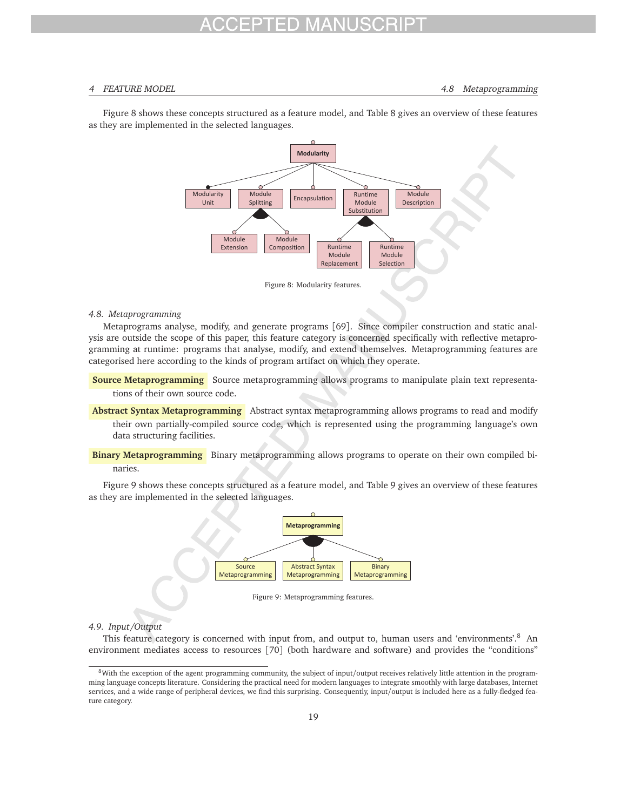## FD MANU

Figure 8 shows these concepts structured as a feature model, and Table 8 gives an overview of these features as they are implemented in the selected languages.



### *4.8. Metaprogramming*

Metaprograms analyse, modify, and generate programs [69]. Since compiler construction and static analysis are outside the scope of this paper, this feature category is concerned specifically with reflective metaprogramming at runtime: programs that analyse, modify, and extend themselves. Metaprogramming features are categorised here according to the kinds of program artifact on which they operate.

- **Source Metaprogramming** Source metaprogramming allows programs to manipulate plain text representations of their own source code.
- **Abstract Syntax Metaprogramming** Abstract syntax metaprogramming allows programs to read and modify their own partially-compiled source code, which is represented using the programming language's own data structuring facilities.
- **Binary Metaprogramming** Binary metaprogramming allows programs to operate on their own compiled binaries.

Figure 9 shows these concepts structured as a feature model, and Table 9 gives an overview of these features as they are implemented in the selected languages.



Figure 9: Metaprogramming features.

## *4.9. Input/Output*

This feature category is concerned with input from, and output to, human users and 'environments'.<sup>8</sup> An environment mediates access to resources [70] (both hardware and software) and provides the "conditions"

<sup>&</sup>lt;sup>8</sup>With the exception of the agent programming community, the subject of input/output receives relatively little attention in the programming language concepts literature. Considering the practical need for modern languages to integrate smoothly with large databases, Internet services, and a wide range of peripheral devices, we find this surprising. Consequently, input/output is included here as a fully-fledged feature category.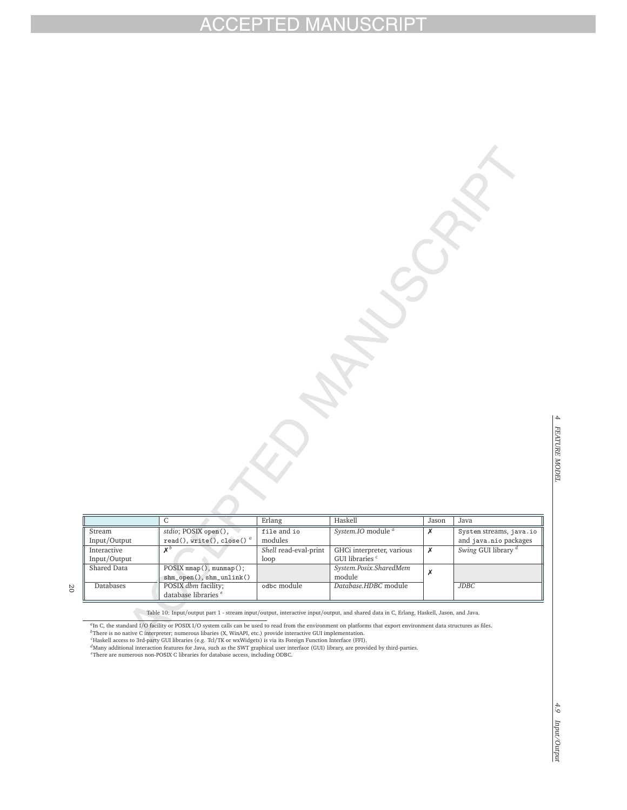### CCEPTED MAI  $\mathcal{S}$ CRIPT Δ

|              |                                  | Erlang                | Haskell                       | Jason | Java                           |
|--------------|----------------------------------|-----------------------|-------------------------------|-------|--------------------------------|
| Stream       | stdio; POSIX open(),             | file and io           | System.IO module <sup>a</sup> |       | System streams, java.io        |
| Input/Output | read(), write(), close() $a$     | modules               |                               |       | and java.nio packages          |
| Interactive  | $\vee$                           | Shell read-eval-print | GHCi interpreter, various     | X     | Swing GUI library <sup>d</sup> |
| Input/Output |                                  | loop                  | GUI libraries <sup>c</sup>    |       |                                |
| Shared Data  | $POSIX$ mmap $(),$ munmap $()$ ; |                       | System.Posix.SharedMem        |       |                                |
|              | $shm\_open()$ , $shm\_unlink()$  |                       | module                        |       |                                |
| Databases    | POSIX dbm facility;              | odbc module           | Database, HDBC module         |       | JDBC.                          |
|              | database libraries <sup>e</sup>  |                       |                               |       |                                |

Table 10: Input/output part 1 - stream input/output, interactive input/output, and shared data in C, Erlang, Haskell, Jason, and Java.

<sup>a</sup>In C, the standard I/O facility or POSIX I/O system calls can be used to read from the environment on platforms that export environment data structures as files.<br><sup>b</sup>There is no native C interpreter; numerous libaries (X

- 
- 
-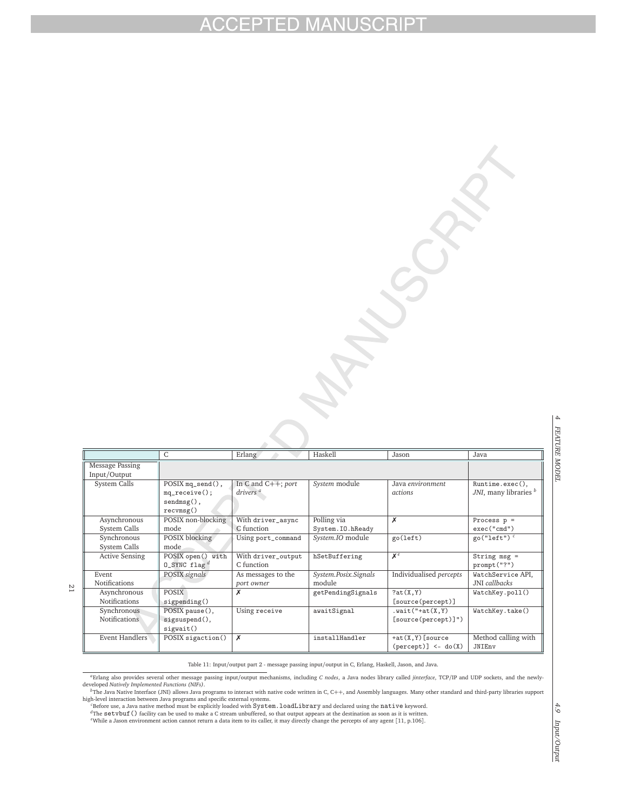### FPTI FD MA  $\cap$  $\bigcap$  $\cap$ Δ

| ï<br>I<br>٢<br>٦ |
|------------------|
|                  |

|                                 | C                           | Erlang                | Haskell              | Jason                                  | Java                      |
|---------------------------------|-----------------------------|-----------------------|----------------------|----------------------------------------|---------------------------|
| Message Passing<br>Input/Output |                             |                       |                      |                                        |                           |
|                                 |                             |                       |                      |                                        |                           |
| System Calls                    | $POSIX$ mq_send(),          | In C and $C++$ ; port | System module        | Java environment                       | $Runtime.exec()$ ,        |
|                                 | $mq\_receive()$ ;           | drivers <sup>a</sup>  |                      | actions                                | JNI, many libraries $b$   |
|                                 | $sendmsg()$ ,               |                       |                      |                                        |                           |
|                                 | recvmsg()                   |                       |                      |                                        |                           |
| Asynchronous                    | POSIX non-blocking          | With driver_async     | Polling via          | X                                      |                           |
|                                 |                             |                       |                      |                                        | Process $p =$             |
| System Calls                    | mode                        | C function            | System. IO. hReady   |                                        | exec("cmd")               |
| Synchronous                     | POSIX blocking              | Using port_command    | System.IO module     | go(left)                               | $go("left")$ <sup>c</sup> |
| System Calls                    | mode                        |                       |                      |                                        |                           |
| <b>Active Sensing</b>           | POSIX open()<br>with        | With driver_output    | hSetBuffering        | $X^e$                                  | String $msg =$            |
|                                 | $0$ _SYNC flag <sup>d</sup> | C function            |                      |                                        | prompt("?")               |
| Event                           | POSIX signals               | As messages to the    | System.Posix.Signals | Individualised percepts                | WatchService API,         |
| Notifications                   |                             | port owner            | module               |                                        | JNI callbacks             |
| Asynchronous                    | <b>POSIX</b>                | х                     | getPendingSignals    | ?at(X,Y)                               | WatchKey.poll()           |
| <b>Notifications</b>            | signending()                |                       |                      | [source(percept)]                      |                           |
| Synchronous                     | POSIX pause(),              | Using receive         | awaitSignal          | $.wait("+at(X,Y))$                     | WatchKey.take()           |
| <b>Notifications</b>            | sigsuspend(),               |                       |                      | [source(percept)]")                    |                           |
|                                 | signait()                   |                       |                      |                                        |                           |
| <b>Event Handlers</b>           | POSIX sigaction()           | X                     | installHandler       | $+at(X,Y)$ [source                     | Method calling with       |
|                                 |                             |                       |                      | $(\text{percept})$ ] <- $\text{do}(X)$ | JNIEnv                    |

Table 11: Input/output part 2 - message passing input/output in C, Erlang, Haskell, Jason, and Java.

- 
- 

<sup>&</sup>lt;sup>*a*</sup>Erlang also provides several other message passing input/output mechanisms, including *C* nodes, a Java nodes library called *jinterface*, TCP/IP and UDP sockets, and the newly-developed *Natively Implemented Functio*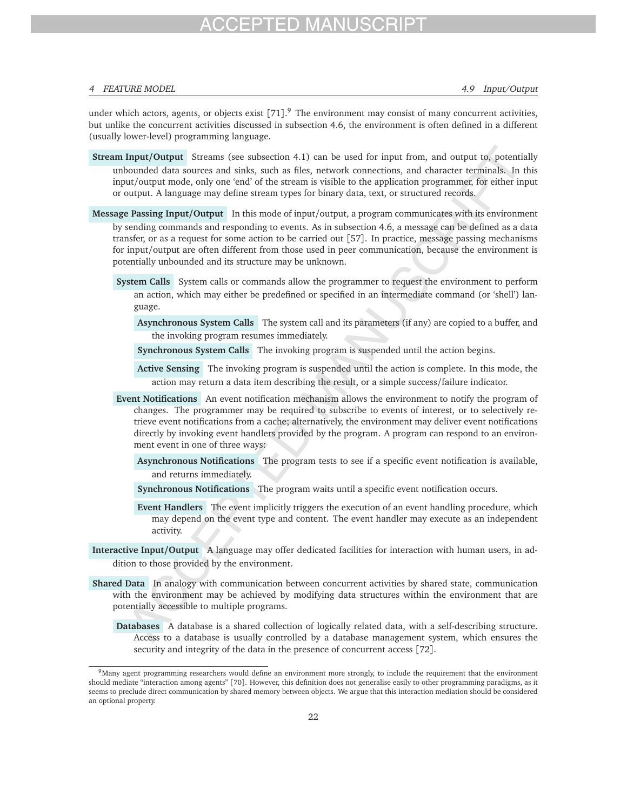## FPTED MANLIS

under which actors, agents, or objects exist  $[71]^9$  The environment may consist of many concurrent activities, but unlike the concurrent activities discussed in subsection 4.6, the environment is often defined in a different (usually lower-level) programming language.

- **Stream Input/Output** Streams (see subsection 4.1) can be used for input from, and output to, potentially unbounded data sources and sinks, such as files, network connections, and character terminals. In this input/output mode, only one 'end' of the stream is visible to the application programmer, for either input or output. A language may define stream types for binary data, text, or structured records.
- **Message Passing Input/Output** In this mode of input/output, a program communicates with its environment by sending commands and responding to events. As in subsection 4.6, a message can be defined as a data transfer, or as a request for some action to be carried out [57]. In practice, message passing mechanisms for input/output are often different from those used in peer communication, because the environment is potentially unbounded and its structure may be unknown.
	- **System Calls** System calls or commands allow the programmer to request the environment to perform an action, which may either be predefined or specified in an intermediate command (or 'shell') language.
		- **Asynchronous System Calls** The system call and its parameters (if any) are copied to a buffer, and the invoking program resumes immediately.
		- **Synchronous System Calls** The invoking program is suspended until the action begins.
		- **Active Sensing** The invoking program is suspended until the action is complete. In this mode, the action may return a data item describing the result, or a simple success/failure indicator.
	- **Event Notifications** An event notification mechanism allows the environment to notify the program of changes. The programmer may be required to subscribe to events of interest, or to selectively retrieve event notifications from a cache; alternatively, the environment may deliver event notifications directly by invoking event handlers provided by the program. A program can respond to an environment event in one of three ways:
		- **Asynchronous Notifications** The program tests to see if a specific event notification is available, and returns immediately.
		- **Synchronous Notifications** The program waits until a specific event notification occurs.
		- **Event Handlers** The event implicitly triggers the execution of an event handling procedure, which may depend on the event type and content. The event handler may execute as an independent activity.
- **Interactive Input/Output** A language may offer dedicated facilities for interaction with human users, in addition to those provided by the environment.
- **Shared Data** In analogy with communication between concurrent activities by shared state, communication with the environment may be achieved by modifying data structures within the environment that are potentially accessible to multiple programs.
	- **Databases** A database is a shared collection of logically related data, with a self-describing structure. Access to a database is usually controlled by a database management system, which ensures the security and integrity of the data in the presence of concurrent access [72].

 $9$ Many agent programming researchers would define an environment more strongly, to include the requirement that the environment should mediate "interaction among agents" [70]. However, this definition does not generalise easily to other programming paradigms, as it seems to preclude direct communication by shared memory between objects. We argue that this interaction mediation should be considered an optional property.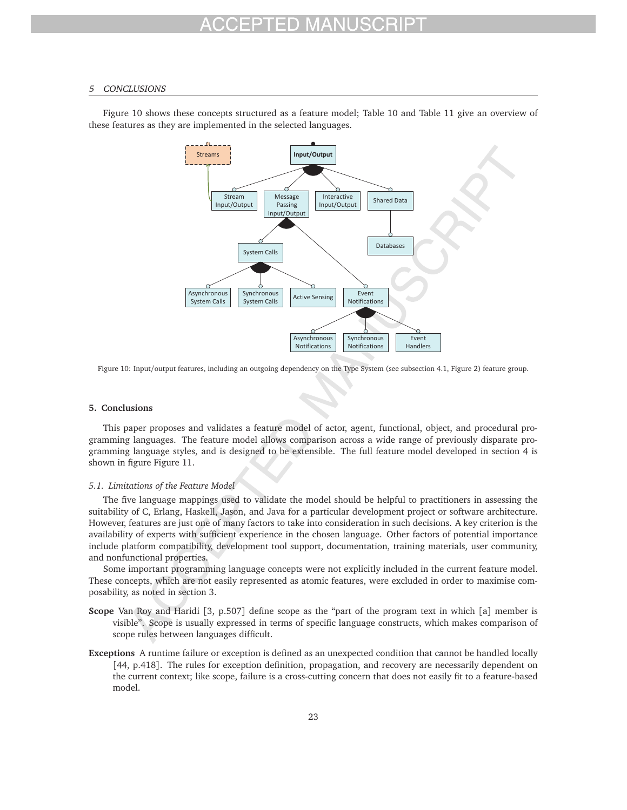## FD MA

### 5 CONCLUSIONS

Figure 10 shows these concepts structured as a feature model; Table 10 and Table 11 give an overview of these features as they are implemented in the selected languages.



Figure 10: Input/output features, including an outgoing dependency on the Type System (see subsection 4.1, Figure 2) feature group.

## **5. Conclusions**

This paper proposes and validates a feature model of actor, agent, functional, object, and procedural programming languages. The feature model allows comparison across a wide range of previously disparate programming language styles, and is designed to be extensible. The full feature model developed in section 4 is shown in figure Figure 11.

### *5.1. Limitations of the Feature Model*

The five language mappings used to validate the model should be helpful to practitioners in assessing the suitability of C, Erlang, Haskell, Jason, and Java for a particular development project or software architecture. However, features are just one of many factors to take into consideration in such decisions. A key criterion is the availability of experts with sufficient experience in the chosen language. Other factors of potential importance include platform compatibility, development tool support, documentation, training materials, user community, and nonfunctional properties.

Some important programming language concepts were not explicitly included in the current feature model. These concepts, which are not easily represented as atomic features, were excluded in order to maximise composability, as noted in section 3.

- **Scope** Van Roy and Haridi [3, p.507] define scope as the "part of the program text in which [a] member is visible". Scope is usually expressed in terms of specific language constructs, which makes comparison of scope rules between languages difficult.
- **Exceptions** A runtime failure or exception is defined as an unexpected condition that cannot be handled locally [44, p.418]. The rules for exception definition, propagation, and recovery are necessarily dependent on the current context; like scope, failure is a cross-cutting concern that does not easily fit to a feature-based model.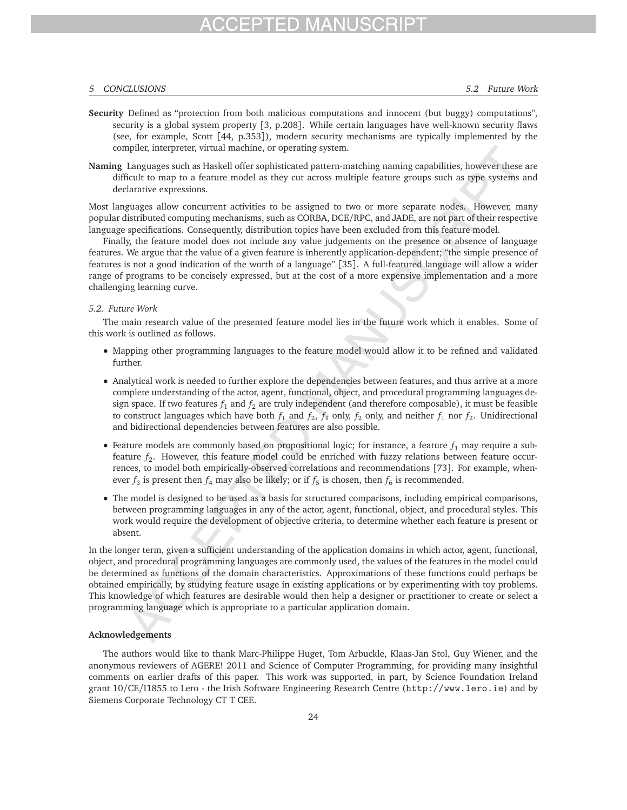## HD MA

- **Security** Defined as "protection from both malicious computations and innocent (but buggy) computations", security is a global system property [3, p.208]. While certain languages have well-known security flaws (see, for example, Scott [44, p.353]), modern security mechanisms are typically implemented by the compiler, interpreter, virtual machine, or operating system.
- **Naming** Languages such as Haskell offer sophisticated pattern-matching naming capabilities, however these are difficult to map to a feature model as they cut across multiple feature groups such as type systems and declarative expressions.

Most languages allow concurrent activities to be assigned to two or more separate nodes. However, many popular distributed computing mechanisms, such as CORBA, DCE/RPC, and JADE, are not part of their respective language specifications. Consequently, distribution topics have been excluded from this feature model.

Finally, the feature model does not include any value judgements on the presence or absence of language features. We argue that the value of a given feature is inherently application-dependent; "the simple presence of features is not a good indication of the worth of a language" [35]. A full-featured language will allow a wider range of programs to be concisely expressed, but at the cost of a more expensive implementation and a more challenging learning curve.

### *5.2. Future Work*

The main research value of the presented feature model lies in the future work which it enables. Some of this work is outlined as follows.

- Mapping other programming languages to the feature model would allow it to be refined and validated further.
- Analytical work is needed to further explore the dependencies between features, and thus arrive at a more complete understanding of the actor, agent, functional, object, and procedural programming languages design space. If two features  $f_1$  and  $f_2$  are truly independent (and therefore composable), it must be feasible to construct languages which have both  $f_1$  and  $f_2$ ,  $f_1$  only,  $f_2$  only, and neither  $f_1$  nor  $f_2$ . Unidirectional and bidirectional dependencies between features are also possible.
- Feature models are commonly based on propositional logic; for instance, a feature  $f_1$  may require a subfeature  $f_2$ . However, this feature model could be enriched with fuzzy relations between feature occurrences, to model both empirically-observed correlations and recommendations [73]. For example, whenever  $f_3$  is present then  $f_4$  may also be likely; or if  $f_5$  is chosen, then  $f_6$  is recommended.
- The model is designed to be used as a basis for structured comparisons, including empirical comparisons, between programming languages in any of the actor, agent, functional, object, and procedural styles. This work would require the development of objective criteria, to determine whether each feature is present or absent.

In the longer term, given a sufficient understanding of the application domains in which actor, agent, functional, object, and procedural programming languages are commonly used, the values of the features in the model could be determined as functions of the domain characteristics. Approximations of these functions could perhaps be obtained empirically, by studying feature usage in existing applications or by experimenting with toy problems. This knowledge of which features are desirable would then help a designer or practitioner to create or select a programming language which is appropriate to a particular application domain.

## **Acknowledgements**

The authors would like to thank Marc-Philippe Huget, Tom Arbuckle, Klaas-Jan Stol, Guy Wiener, and the anonymous reviewers of AGERE! 2011 and Science of Computer Programming, for providing many insightful comments on earlier drafts of this paper. This work was supported, in part, by Science Foundation Ireland grant 10/CE/I1855 to Lero - the Irish Software Engineering Research Centre (http://www.lero.ie) and by Siemens Corporate Technology CT T CEE.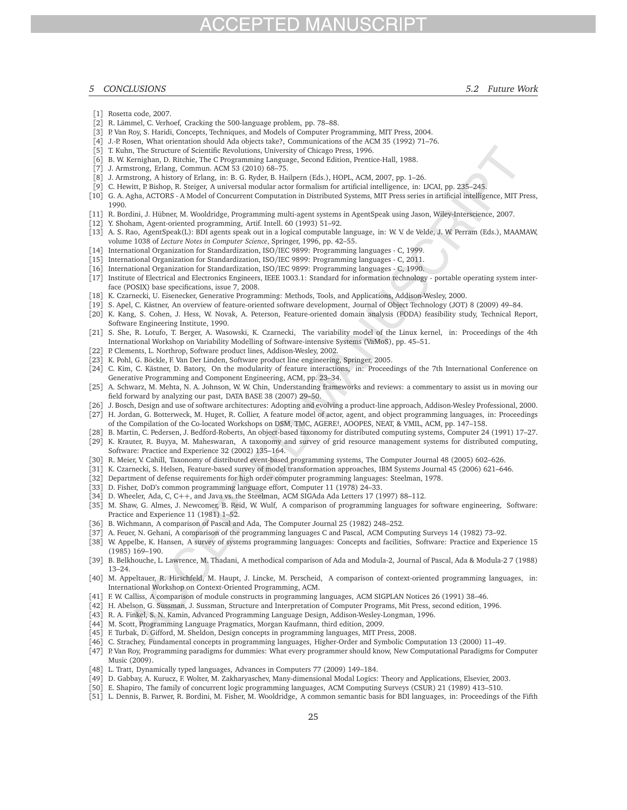# CEPTED MANUSCR

5 CONCLUSIONS 5.2 Future Work

- [1] Rosetta code, 2007.
- [2] R. Lämmel, C. Verhoef, Cracking the 500-language problem, pp. 78–88.
- [3] P. Van Roy, S. Haridi, Concepts, Techniques, and Models of Computer Programming, MIT Press, 2004.
- [4] J.-P. Rosen, What orientation should Ada objects take?, Communications of the ACM 35 (1992) 71–76.
- [5] T. Kuhn, The Structure of Scientific Revolutions, University of Chicago Press, 1996.
- [6] B. W. Kernighan, D. Ritchie, The C Programming Language, Second Edition, Prentice-Hall, 1988.
- [7] J. Armstrong, Erlang, Commun. ACM 53 (2010) 68–75.
- [8] J. Armstrong, A history of Erlang, in: B. G. Ryder, B. Hailpern (Eds.), HOPL, ACM, 2007, pp. 1–26.
- [9] C. Hewitt, P. Bishop, R. Steiger, A universal modular actor formalism for artificial intelligence, in: IJCAI, pp. 235–245.
- [10] G. A. Agha, ACTORS A Model of Concurrent Computation in Distributed Systems, MIT Press series in artificial intelligence, MIT Press, 1990.
- [11] R. Bordini, J. Hübner, M. Wooldridge, Programming multi-agent systems in AgentSpeak using Jason, Wiley-Interscience, 2007.
- [12] Y. Shoham, Agent-oriented programming, Artif. Intell. 60 (1993) 51–92.
- [13] A. S. Rao, AgentSpeak(L): BDI agents speak out in a logical computable language, in: W. V. de Velde, J. W. Perram (Eds.), MAAMAW, volume 1038 of *Lecture Notes in Computer Science*, Springer, 1996, pp. 42–55.
- [14] International Organization for Standardization, ISO/IEC 9899: Programming languages C, 1999.
- [15] International Organization for Standardization, ISO/IEC 9899: Programming languages C, 2011.
- [16] International Organization for Standardization, ISO/IEC 9899: Programming languages C, 1990.
- [17] Institute of Electrical and Electronics Engineers, IEEE 1003.1: Standard for information technology portable operating system interface (POSIX) base specifications, issue 7, 2008.
- [18] K. Czarnecki, U. Eisenecker, Generative Programming: Methods, Tools, and Applications, Addison-Wesley, 2000.
- [19] S. Apel, C. Kästner, An overview of feature-oriented software development, Journal of Object Technology (JOT) 8 (2009) 49–84.
- [20] K. Kang, S. Cohen, J. Hess, W. Novak, A. Peterson, Feature-oriented domain analysis (FODA) feasibility study, Technical Report, Software Engineering Institute, 1990.
- [21] S. She, R. Lotufo, T. Berger, A. Wasowski, K. Czarnecki, The variability model of the Linux kernel, in: Proceedings of the 4th International Workshop on Variability Modelling of Software-intensive Systems (VaMoS), pp. 45–51.
- P. Clements, L. Northrop, Software product lines, Addison-Wesley, 2002.
- [23] K. Pohl, G. Böckle, F. Van Der Linden, Software product line engineering, Springer, 2005.
- [24] C. Kim, C. Kästner, D. Batory, On the modularity of feature interactions, in: Proceedings of the 7th International Conference on Generative Programming and Component Engineering, ACM, pp. 23–34.
- [25] A. Schwarz, M. Mehta, N. A. Johnson, W. W. Chin, Understanding frameworks and reviews: a commentary to assist us in moving our field forward by analyzing our past, DATA BASE 38 (2007) 29–50.
- [26] J. Bosch, Design and use of software architectures: Adopting and evolving a product-line approach, Addison-Wesley Professional, 2000.
- [27] H. Jordan, G. Botterweck, M. Huget, R. Collier, A feature model of actor, agent, and object programming languages, in: Proceedings of the Compilation of the Co-located Workshops on DSM, TMC, AGERE!, AOOPES, NEAT, & VMIL, ACM, pp. 147–158.
- [28] B. Martin, C. Pedersen, J. Bedford-Roberts, An object-based taxonomy for distributed computing systems, Computer 24 (1991) 17–27. [29] K. Krauter, R. Buyya, M. Maheswaran, A taxonomy and survey of grid resource management systems for distributed computing, Software: Practice and Experience 32 (2002) 135–164.
- [30] R. Meier, V. Cahill, Taxonomy of distributed event-based programming systems, The Computer Journal 48 (2005) 602–626.
- [31] K. Czarnecki, S. Helsen, Feature-based survey of model transformation approaches, IBM Systems Journal 45 (2006) 621–646.
- [32] Department of defense requirements for high order computer programming languages: Steelman, 1978.
- 
- [33] D. Fisher, DoD's common programming language effort, Computer 11 (1978) 24–33.
- [34] D. Wheeler, Ada, C, C++, and Java vs. the Steelman, ACM SIGAda Ada Letters 17 (1997) 88–112.
- [35] M. Shaw, G. Almes, J. Newcomer, B. Reid, W. Wulf, A comparison of programming languages for software engineering, Software: Practice and Experience 11 (1981) 1–52.
- [36] B. Wichmann, A comparison of Pascal and Ada, The Computer Journal 25 (1982) 248–252.
- [37] A. Feuer, N. Gehani, A comparison of the programming languages C and Pascal, ACM Computing Surveys 14 (1982) 73–92.
- [38] W. Appelbe, K. Hansen, A survey of systems programming languages: Concepts and facilities, Software: Practice and Experience 15 (1985) 169–190.
- [39] B. Belkhouche, L. Lawrence, M. Thadani, A methodical comparison of Ada and Modula-2, Journal of Pascal, Ada & Modula-2 7 (1988) 13–24.
- [40] M. Appeltauer, R. Hirschfeld, M. Haupt, J. Lincke, M. Perscheid, A comparison of context-oriented programming languages, in: International Workshop on Context-Oriented Programming, ACM.
- [41] F. W. Calliss, A comparison of module constructs in programming languages, ACM SIGPLAN Notices 26 (1991) 38–46.
- [42] H. Abelson, G. Sussman, J. Sussman, Structure and Interpretation of Computer Programs, Mit Press, second edition, 1996.
- [43] R. A. Finkel, S. N. Kamin, Advanced Programming Language Design, Addison-Wesley-Longman, 1996.
- [44] M. Scott, Programming Language Pragmatics, Morgan Kaufmann, third edition, 2009.
- [45] F. Turbak, D. Gifford, M. Sheldon, Design concepts in programming languages, MIT Press, 2008.
- [46] C. Strachey, Fundamental concepts in programming languages, Higher-Order and Symbolic Computation 13 (2000) 11–49.
- [47] P. Van Roy, Programming paradigms for dummies: What every programmer should know, New Computational Paradigms for Computer Music (2009).
- [48] L. Tratt, Dynamically typed languages, Advances in Computers 77 (2009) 149–184.
- [49] D. Gabbay, A. Kurucz, F. Wolter, M. Zakharyaschev, Many-dimensional Modal Logics: Theory and Applications, Elsevier, 2003.
- [50] E. Shapiro, The family of concurrent logic programming languages, ACM Computing Surveys (CSUR) 21 (1989) 413–510.
- [51] L. Dennis, B. Farwer, R. Bordini, M. Fisher, M. Wooldridge, A common semantic basis for BDI languages, in: Proceedings of the Fifth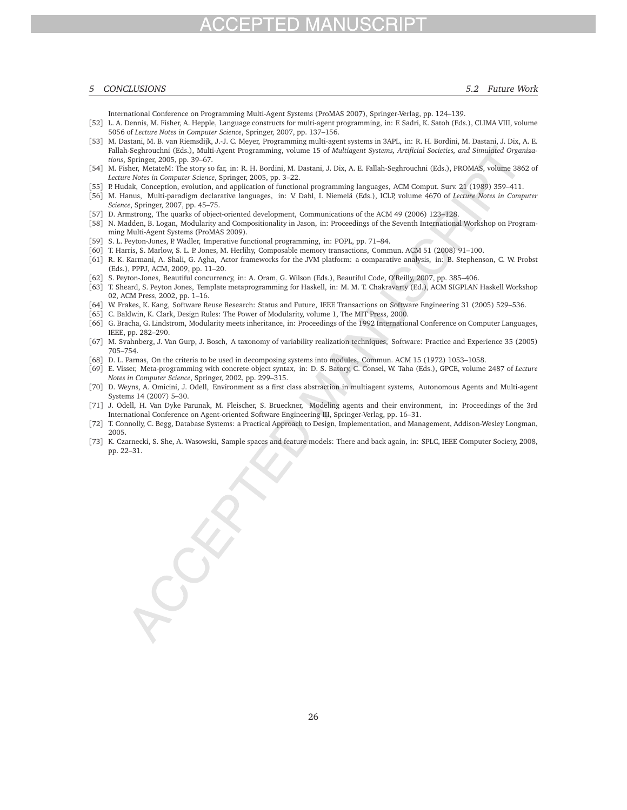# FD MA

### 5 CONCLUSIONS 5.2 Future Work

International Conference on Programming Multi-Agent Systems (ProMAS 2007), Springer-Verlag, pp. 124–139.

- [52] L. A. Dennis, M. Fisher, A. Hepple, Language constructs for multi-agent programming, in: F. Sadri, K. Satoh (Eds.), CLIMA VIII, volume 5056 of *Lecture Notes in Computer Science*, Springer, 2007, pp. 137–156.
- [53] M. Dastani, M. B. van Riemsdijk, J.-J. C. Meyer, Programming multi-agent systems in 3APL, in: R. H. Bordini, M. Dastani, J. Dix, A. E. Fallah-Seghrouchni (Eds.), Multi-Agent Programming, volume 15 of *Multiagent Systems, Artificial Societies, and Simulated Organizations*, Springer, 2005, pp. 39–67.
- [54] M. Fisher, MetateM: The story so far, in: R. H. Bordini, M. Dastani, J. Dix, A. E. Fallah-Seghrouchni (Eds.), PROMAS, volume 3862 of *Lecture Notes in Computer Science*, Springer, 2005, pp. 3–22.
- [55] P. Hudak, Conception, evolution, and application of functional programming languages, ACM Comput. Surv. 21 (1989) 359–411.
- [56] M. Hanus, Multi-paradigm declarative languages, in: V. Dahl, I. Niemelä (Eds.), ICLP, volume 4670 of *Lecture Notes in Computer Science*, Springer, 2007, pp. 45–75.
- [57] D. Armstrong, The quarks of object-oriented development, Communications of the ACM 49 (2006) 123–128.
- [58] N. Madden, B. Logan, Modularity and Compositionality in Jason, in: Proceedings of the Seventh International Workshop on Programming Multi-Agent Systems (ProMAS 2009).
- [59] S. L. Peyton-Jones, P. Wadler, Imperative functional programming, in: POPL, pp. 71–84.
- [60] T. Harris, S. Marlow, S. L. P. Jones, M. Herlihy, Composable memory transactions, Commun. ACM 51 (2008) 91–100.
- [61] R. K. Karmani, A. Shali, G. Agha, Actor frameworks for the JVM platform: a comparative analysis, in: B. Stephenson, C. W. Probst (Eds.), PPPJ, ACM, 2009, pp. 11–20.
- [62] S. Peyton-Jones, Beautiful concurrency, in: A. Oram, G. Wilson (Eds.), Beautiful Code, O'Reilly, 2007, pp. 385–406.
- [63] T. Sheard, S. Peyton Jones, Template metaprogramming for Haskell, in: M. M. T. Chakravarty (Ed.), ACM SIGPLAN Haskell Workshop 02, ACM Press, 2002, pp. 1–16.
- [64] W. Frakes, K. Kang, Software Reuse Research: Status and Future, IEEE Transactions on Software Engineering 31 (2005) 529–536.
- [65] C. Baldwin, K. Clark, Design Rules: The Power of Modularity, volume 1, The MIT Press, 2000.
- [66] G. Bracha, G. Lindstrom, Modularity meets inheritance, in: Proceedings of the 1992 International Conference on Computer Languages, IEEE, pp. 282–290.
- [67] M. Svahnberg, J. Van Gurp, J. Bosch, A taxonomy of variability realization techniques, Software: Practice and Experience 35 (2005) 705–754.
- [68] D. L. Parnas, On the criteria to be used in decomposing systems into modules, Commun. ACM 15 (1972) 1053–1058.
- [69] E. Visser, Meta-programming with concrete object syntax, in: D. S. Batory, C. Consel, W. Taha (Eds.), GPCE, volume 2487 of *Lecture Notes in Computer Science*, Springer, 2002, pp. 299–315.
- [70] D. Weyns, A. Omicini, J. Odell, Environment as a first class abstraction in multiagent systems, Autonomous Agents and Multi-agent Systems 14 (2007) 5–30.
- [71] J. Odell, H. Van Dyke Parunak, M. Fleischer, S. Brueckner, Modeling agents and their environment, in: Proceedings of the 3rd International Conference on Agent-oriented Software Engineering III, Springer-Verlag, pp. 16–31.
- [72] T. Connolly, C. Begg, Database Systems: a Practical Approach to Design, Implementation, and Management, Addison-Wesley Longman, 2005.
- [73] K. Czarnecki, S. She, A. Wasowski, Sample spaces and feature models: There and back again, in: SPLC, IEEE Computer Society, 2008, pp. 22–31.